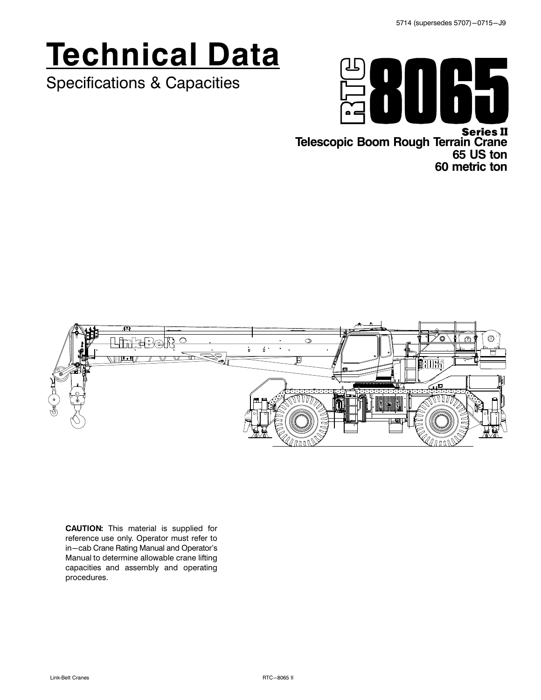# **Technical Data**

Specifications & Capacities



**65 US ton 60 metric ton**



**CAUTION:** This material is supplied for reference use only. Operator must refer to in-cab Crane Rating Manual and Operator's Manual to determine allowable crane lifting capacities and assembly and operating procedures.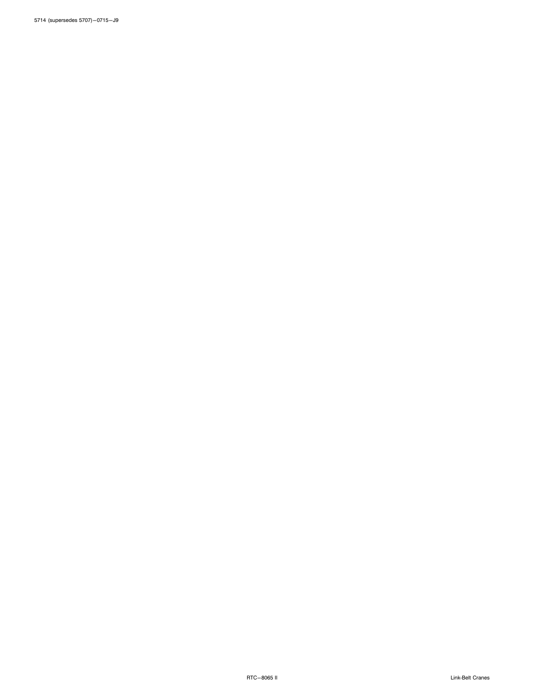5714 (supersedes 5707)-0715-J9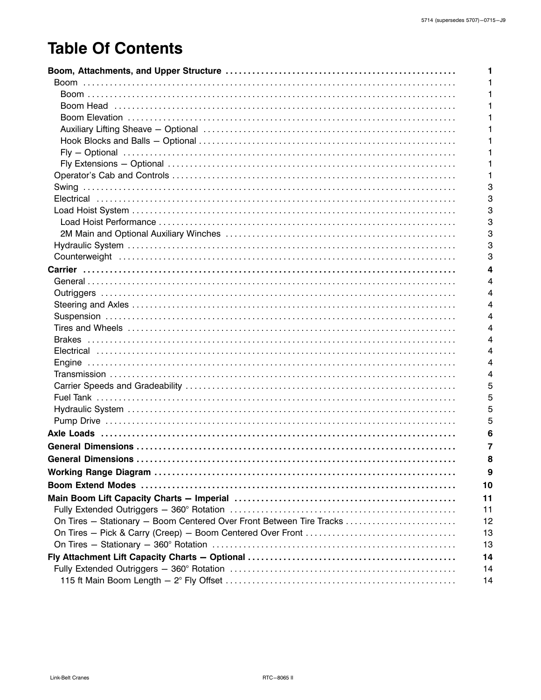# **Table Of Contents**

| 1  |
|----|
| 3  |
| 3  |
| 3  |
| 3  |
| 3  |
| 3  |
| 3  |
| 4  |
| 4  |
| 4  |
| 4  |
| 4  |
| 4  |
| 4  |
| 4  |
| 4  |
| 4  |
| 5  |
| 5  |
| 5  |
| 5  |
| 6  |
| 7  |
| 8  |
| 9  |
| 10 |
| 11 |
| 11 |
| 12 |
| 13 |
| 13 |
| 14 |
| 14 |
| 14 |
|    |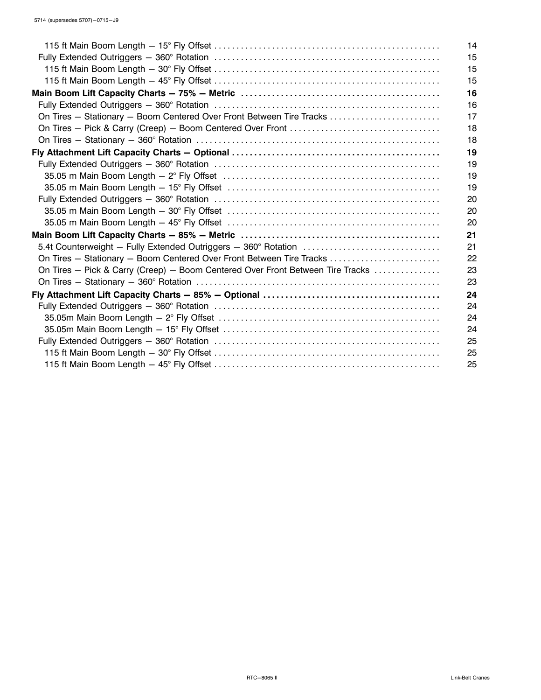|                                                                                | 14 |
|--------------------------------------------------------------------------------|----|
|                                                                                | 15 |
|                                                                                | 15 |
|                                                                                | 15 |
|                                                                                | 16 |
|                                                                                | 16 |
|                                                                                | 17 |
|                                                                                | 18 |
|                                                                                | 18 |
|                                                                                | 19 |
|                                                                                | 19 |
|                                                                                | 19 |
|                                                                                | 19 |
|                                                                                | 20 |
|                                                                                | 20 |
|                                                                                | 20 |
|                                                                                | 21 |
|                                                                                | 21 |
|                                                                                | 22 |
| On Tires - Pick & Carry (Creep) - Boom Centered Over Front Between Tire Tracks | 23 |
|                                                                                | 23 |
|                                                                                | 24 |
|                                                                                | 24 |
|                                                                                | 24 |
|                                                                                | 24 |
|                                                                                | 25 |
|                                                                                | 25 |
|                                                                                | 25 |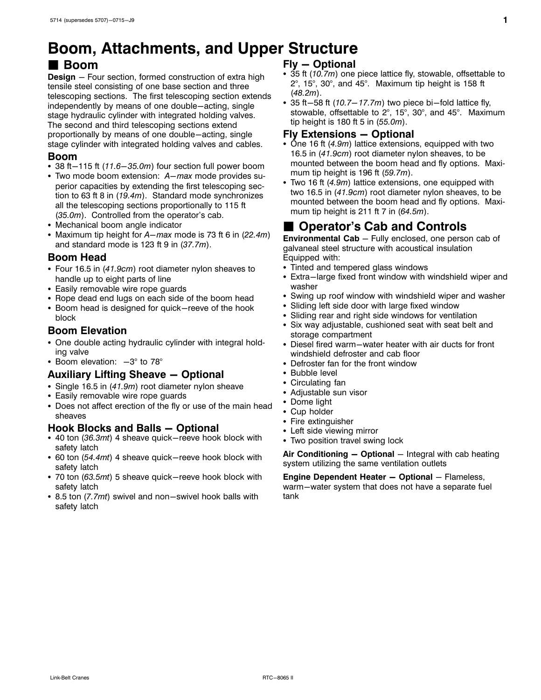# <span id="page-4-0"></span>**Boom, Attachments, and Upper Structure**

#### - **Boom**

**Design** – Four section, formed construction of extra high tensile steel consisting of one base section and three telescoping sections. The first telescoping section extends independently by means of one double-acting, single stage hydraulic cylinder with integrated holding valves. The second and third telescoping sections extend proportionally by means of one double-acting, single stage cylinder with integrated holding valves and cables.

#### **Boom**

- **-** 38 ft-115 ft (*11.6-35.0m*) four section full power boom<br>• Two mode boom extension: A−max mode provides su-
- Two mode boom extension: *A-max* mode provides superior capacities by extending the first telescoping section to 63 ft 8 in (*19.4m*). Standard mode synchronizes all the telescoping sections proportionally to 115 ft (*35.0m*). Controlled from the operator's cab.
- Mechanical boom angle indicator
- Maximum tip height for  $A-max$  mode is 73 ft 6 in (22.4m)<br>and standard mode is 123 ft 9 in (37.7m) and standard mode is 123 ft 9 in (*37.7m*).

#### **Boom Head**

- Four 16.5 in (*41.9cm*) root diameter nylon sheaves to handle up to eight parts of line
- Easily removable wire rope guards
- Rope dead end lugs on each side of the boom head
- Boom head is designed for quick-reeve of the hook block

#### **Boom Elevation**

- One double acting hydraulic cylinder with integral holding valve
- $\bullet$  Boom elevation:  $-3^{\circ}$  to 78°

#### **Auxiliary Lifting Sheave - Optional**

- Single 16.5 in (*41.9m*) root diameter nylon sheave
- Easily removable wire rope guards
- Does not affect erection of the fly or use of the main head sheaves

#### **Hook Blocks and Balls – Optional**

- 40 ton (*36.3mt*) 4 sheave quick-reeve hook block with safety latch
- 60 ton (54.4mt) 4 sheave quick-reeve hook block with<br>safety latch safety latch
- 70 ton (*63.5mt*) 5 sheave quick-reeve hook block with safety latch
- 8.5 ton (*7.7mt*) swivel and non-swivel hook balls with safety latch

#### **Fly - Optional**

- 35 ft (*10.7m*) one piece lattice fly, stowable, offsettable to<br>2° 15° 30° and 45° Maximum tip beight is 158 ft 2°, 15°, 30°, and 45°. Maximum tip height is 158 ft (*48.2m*).
- $35$  ft-58 ft (10.7-17.7m) two piece bi-fold lattice fly,<br>stowable, offsettable to 2° 15° 30° and 45°. Maxim stowable, offsettable to 2°, 15°, 30°, and 45°. Maximum tip height is 180 ft 5 in (*55.0m*).

#### **Fly Extensions - Optional**

- One 16 ft (*4.9m*) lattice extensions, equipped with two<br>16 5 in (41.9cm) root diameter nylon sheaves to be 16.5 in (*41.9cm*) root diameter nylon sheaves, to be mounted between the boom head and fly options. Maximum tip height is 196 ft (*59.7m*).
- Two 16 ft (*4.9m*) lattice extensions, one equipped with two 16.5 in (*41.9cm*) root diameter nylon sheaves, to be mounted between the boom head and fly options. Maximum tip height is 211 ft 7 in (*64.5m*).

### ■ Operator's Cab and Controls

**Environmental Cab** - Fully enclosed, one person cab of galvaneal steel structure with acoustical insulation Equipped with:

- Tinted and tempered glass windows
- Extra-large fixed front window with windshield wiper and washer
- Swing up roof window with windshield wiper and washer
- Sliding left side door with large fixed window
- Sliding rear and right side windows for ventilation
- Six way adjustable, cushioned seat with seat belt and storage compartment
- Diesel fired warm-water heater with air ducts for front windshield defroster and cab floor
- -Defroster fan for the front window
- Bubble level
- Circulating fan
- Adjustable sun visor
- Dome light
- Cup holder
- Fire extinguisher
- Left side viewing mirror
- Two position travel swing lock

**Air Conditioning - Optional** - Integral with cab heating system utilizing the same ventilation outlets

**Engine Dependent Heater - Optional** - Flameless, warm-water system that does not have a separate fuel tank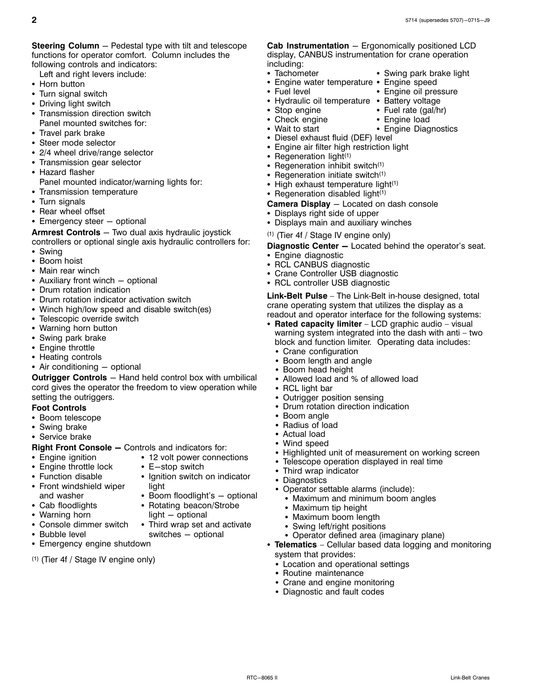• Swing park brake light

Engine oil pressure

• Engine Diagnostics

• Fuel rate (gal/hr)

• Engine load

**Steering Column** - Pedestal type with tilt and telescope functions for operator comfort. Column includes the following controls and indicators:

Left and right levers include:

- Horn button
- Turn signal switch
- Driving light switch
- Transmission direction switch Panel mounted switches for:
- Travel park brake
- Steer mode selector
- 2/4 wheel drive/range selector
- Transmission gear selector
- Hazard flasher
- Panel mounted indicator/warning lights for:
- Transmission temperature
- Turn signals
- Rear wheel offset
- Emergency steer optional

**Armrest Controls** - Two dual axis hydraulic joystick controllers or optional single axis hydraulic controllers for:

- Swing
- Boom hoist
- Main rear winch
- Auxiliary front winch optional
- Drum rotation indication
- Drum rotation indicator activation switch
- Winch high/low speed and disable switch(es)
- Telescopic override switch
- Warning horn button
- Swing park brake
- Engine throttle
- Heating controls
- Air conditioning optional

**Outrigger Controls** - Hand held control box with umbilical cord gives the operator the freedom to view operation while setting the outriggers.

#### **Foot Controls**

- Boom telescope
- Swing brake
- Service brake
- **Right Front Console Controls and indicators for:**
- Engine ignition • 12 volt power connections • Engine throttle lock •

Third wrap set and activate

 $switches - optional$ 

- E-stop switch • Ignition switch on indicator
- Function disable • Front windshield wiper light
	- and washer  $\bullet$  Boom floodlight's  $-$  optional • Rotating beacon/Strobe
- Cab floodlights •
- Warning horn light optional
- Console dimmer switch •
- Bubble level
- Emergency engine shutdown

(1) (Tier 4f / Stage IV engine only)

**Cab Instrumentation** - Ergonomically positioned LCD display, CANBUS instrumentation for crane operation including:

- Tachometer •
- -• Engine water temperature • Engine speed
- Fuel level •
- Hydraulic oil temperature Battery voltage -
- Stop engine
- -Check engine
- -Wait to start
- Diesel exhaust fluid (DEF) level
- Engine air filter high restriction light
- -Regeneration light(1)
- -Regeneration inhibit switch(1)
- -Regeneration initiate switch(1)
- High exhaust temperature light<sup>(1)</sup>
- $\bullet$  Regeneration disabled light(1)
- **Camera Display** Located on dash console
- Displays right side of upper
- Displays main and auxiliary winches
- (1) (Tier 4f / Stage IV engine only)
- **Diagnostic Center Located behind the operator's seat.**
- Engine diagnostic
- RCL CANBUS diagnostic
- Crane Controller USB diagnostic
- RCL controller USB diagnostic

**Link-Belt Pulse** – The Link-Belt in-house designed, total crane operating system that utilizes the display as a readout and operator interface for the following systems:

- **Rated capacity limiter** LCD graphic audio visual warning system integrated into the dash with anti – two block and function limiter. Operating data includes:
	- Crane configuration
	- Boom length and angle
	- Boom head height
	- Allowed load and % of allowed load
	- RCL light bar
	- Outrigger position sensing
	- Drum rotation direction indication
	- $\bullet$ Boom angle
	- Radius of load
- Actual load
- Wind speed
- -Highlighted unit of measurement on working screen
- -Telescope operation displayed in real time
- -Third wrap indicator
- Diagnostics
- Operator settable alarms (include):
	- Maximum and minimum boom angles
	- $\bullet$ Maximum tip height
	- -Maximum boom length
	- -Swing left/right positions
	- Operator defined area (imaginary plane)
- **Telematics** Cellular based data logging and monitoring system that provides:
	- Location and operational settings
	- Routine maintenance
	- Crane and engine monitoring
	- Diagnostic and fault codes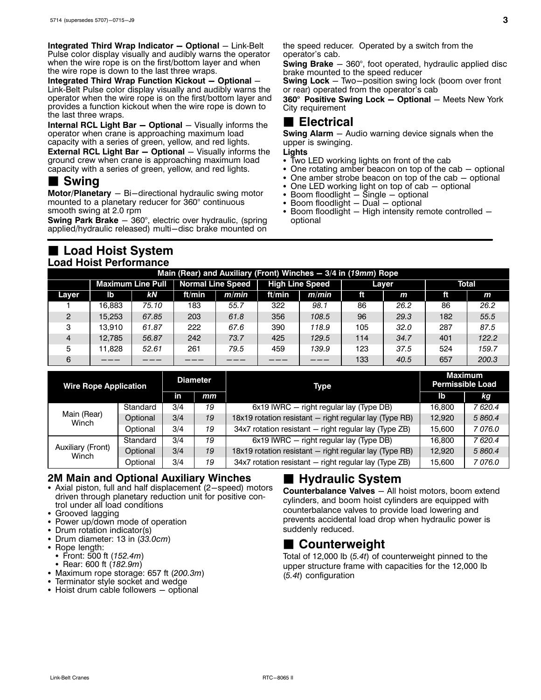<span id="page-6-0"></span>**Integrated Third Wrap Indicator - Optional** - Link-Belt Pulse color display visually and audibly warns the operator when the wire rope is on the first/bottom layer and when the wire rope is down to the last three wraps.

**Integrated Third Wrap Function Kickout – Optional –** Link‐Belt Pulse color display visually and audibly warns the operator when the wire rope is on the first/bottom layer and provides a function kickout when the wire rope is down to the last three wraps.

**Internal RCL Light Bar - Optional** - Visually informs the operator when crane is approaching maximum load capacity with a series of green, yellow, and red lights. **External RCL Light Bar - Optional** - Visually informs the ground crew when crane is approaching maximum load capacity with a series of green, yellow, and red lights.

#### ■ Swing

**Motor/Planetary** - Bi-directional hydraulic swing motor mounted to a planetary reducer for 360° continuous smooth swing at 2.0 rpm

**Swing Park Brake** – 360°, electric over hydraulic, (spring applied/hydraulic released) multi-disc brake mounted on

the speed reducer. Operated by a switch from the operator's cab.

**Swing Brake** - 360°, foot operated, hydraulic applied disc brake mounted to the speed reducer

**Swing Lock** - Two-position swing lock (boom over front or rear) operated from the operator's cab

**360° Positive Swing Lock - Optional** - Meets New York City requirement

#### - **Electrical**

**Swing Alarm** - Audio warning device signals when the upper is swinging.

**Lights**

- Two LED working lights on front of the cab
- $\bullet$ One rotating amber beacon on top of the cab  $-$  optional
- -One amber strobe beacon on top of the  $cab - optional$
- -One LED working light on top of  $cab - optional$
- $\bullet$  $Boom$  floodlight  $-$  Single  $-$  optional
- $\bullet$ Boom floodlight  $-$  Dual  $-$  optional
- -Boom floodlight  $-$  High intensity remote controlled  $$ optional

#### - **Load Hoist System Load Hoist Performance**

| Main (Rear) and Auxiliary (Front) Winches $-3/4$ in (19mm) Rope |                          |       |                          |       |                        |       |       |              |       |       |  |
|-----------------------------------------------------------------|--------------------------|-------|--------------------------|-------|------------------------|-------|-------|--------------|-------|-------|--|
|                                                                 | <b>Maximum Line Pull</b> |       | <b>Normal Line Speed</b> |       | <b>High Line Speed</b> |       | Layer |              | Total |       |  |
| Laver                                                           | lb                       | kΝ    | ft/min                   | m/min | ft/min                 | m/min | ft    | $\mathbf{m}$ | ft    | m     |  |
|                                                                 | 16,883                   | 75.10 | 183                      | 55.7  | 322                    | 98.1  | 86    | 26.2         | 86    | 26.2  |  |
| 2                                                               | 15,253                   | 67.85 | 203                      | 61.8  | 356                    | 108.5 | 96    | 29.3         | 182   | 55.5  |  |
| 3                                                               | 13.910                   | 61.87 | 222                      | 67.6  | 390                    | 118.9 | 105   | 32.0         | 287   | 87.5  |  |
| 4                                                               | 12,785                   | 56.87 | 242                      | 73.7  | 425                    | 129.5 | 114   | 34.7         | 401   | 122.2 |  |
| 5                                                               | 11.828                   | 52.61 | 261                      | 79.5  | 459                    | 139.9 | 123   | 37.5         | 524   | 159.7 |  |
| 6                                                               |                          |       |                          |       |                        |       | 133   | 40.5         | 657   | 200.3 |  |

| <b>Wire Rope Application</b> |          | <b>Diameter</b> |    | <b>Type</b>                                            | <b>Maximum</b><br><b>Permissible Load</b> |        |  |
|------------------------------|----------|-----------------|----|--------------------------------------------------------|-------------------------------------------|--------|--|
|                              |          | in              | mm |                                                        | lb                                        | kg     |  |
|                              | Standard | 3/4             | 19 | 6x19 IWRC - right regular lay (Type DB)                | 16.800                                    | 7620.4 |  |
| Main (Rear)<br>Winch         | Optional | 3/4             | 19 | 18x19 rotation resistant - right regular lay (Type RB) | 12,920                                    | 5860.4 |  |
|                              | Optional | 3/4             | 19 | 34x7 rotation resistant - right regular lay (Type ZB)  | 15.600                                    | 7076.0 |  |
|                              | Standard | 3/4             | 19 | 6x19 IWRC - right regular lay (Type DB)                | 16.800                                    | 7620.4 |  |
| Auxiliary (Front)<br>Winch   | Optional | 3/4             | 19 | 18x19 rotation resistant - right regular lay (Type RB) | 12.920                                    | 5860.4 |  |
| Optional                     |          | 3/4             | 19 | 34x7 rotation resistant - right regular lay (Type ZB)  | 15,600                                    | 7076.0 |  |

### **2M Main and Optional Auxiliary Winches** -

- Axial piston, full and half displacement (2-speed) motors driven through planetary reduction unit for positive control under all load conditions
- Grooved lagging -
- Power up/down mode of operation
- Drum rotation indicator(s)
- Drum diameter: 13 in (*33.0cm*)
- Rope length:
	- Front: 500 ft (*152.4m*)
	- Rear: 600 ft (*182.9m*)
- Maximum rope storage: 657 ft (*200.3m*)
- Terminator style socket and wedge
- Hoist drum cable followers optional

#### $\blacksquare$  **Hydraulic System**

**Counterbalance Valves** - All hoist motors, boom extend cylinders, and boom hoist cylinders are equipped with counterbalance valves to provide load lowering and prevents accidental load drop when hydraulic power is suddenly reduced.

#### $\blacksquare$  Counterweight

Total of 12,000 lb (*5.4t*) of counterweight pinned to the upper structure frame with capacities for the 12,000 lb (*5.4t*) configuration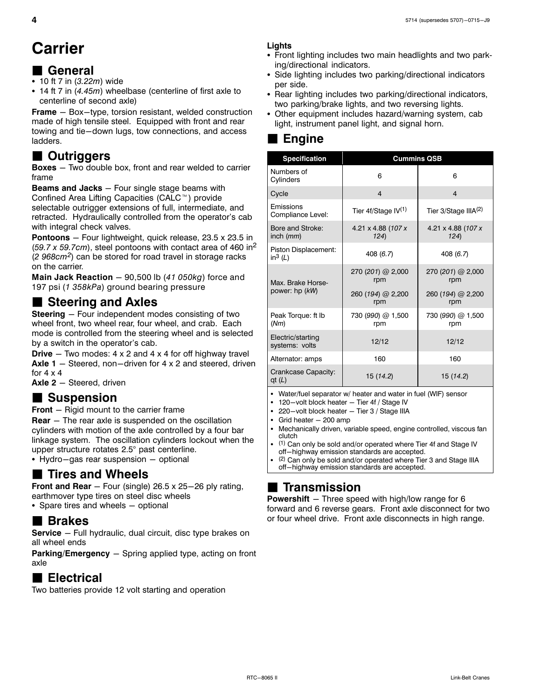# <span id="page-7-0"></span>**Carrier**

# General<br>• 10 ft 7 in (3.22)

10 ft 7 in (*3.22m*) wide

• 14 ft 7 in (*4.45m*) wheelbase (centerline of first axle to<br>centerline of second axle) centerline of second axle)

**Frame** - Box-type, torsion resistant, welded construction made of high tensile steel. Equipped with front and rear towing and tie-down lugs, tow connections, and access ladders.

### $\blacksquare$  Outriggers

**Boxes** – Two double box, front and rear welded to carrier frame

**Beams and Jacks** - Four single stage beams with Confined Area Lifting Capacities (CALC<sup>™</sup>) provide selectable outrigger extensions of full, intermediate, and retracted. Hydraulically controlled from the operator's cab with integral check valves.

**Pontoons** – Four lightweight, quick release, 23.5 x 23.5 in (*59.7 x 59.7cm*), steel pontoons with contact area of 460 in2 (*2 968cm2*) can be stored for road travel in storage racks on the carrier.

**Main Jack Reaction**  $-$  90,500 lb (41 050kg) force and 197 psi (*1 358kPa*) ground bearing pressure

### **E** Steering and Axles

**Steering** – Four independent modes consisting of two wheel front, two wheel rear, four wheel, and crab. Each mode is controlled from the steering wheel and is selected by a switch in the operator's cab.

**Drive** – Two modes: 4 x 2 and 4 x 4 for off highway travel **Axle 1**  $-$  Steered, non $-$ driven for 4 x 2 and steered, driven for  $4 \times 4$ 

Axle 2 - Steered, driven

### $\blacksquare$  Suspension

**Front** – Rigid mount to the carrier frame

**Rear** – The rear axle is suspended on the oscillation cylinders with motion of the axle controlled by a four bar linkage system. The oscillation cylinders lockout when the upper structure rotates 2.5° past centerline.

• Hydro-gas rear suspension - optional

### $\blacksquare$  **Tires and Wheels**

**Front and Rear** - Four (single) 26.5 x 25-26 ply rating, earthmover type tires on steel disc wheels • Spare tires and wheels - optional

### - **Brakes**

**Service** - Full hydraulic, dual circuit, disc type brakes on all wheel ends

**Parking/Emergency** - Spring applied type, acting on front axle

### - **Electrical**

Two batteries provide 12 volt starting and operation

#### **Lights**

- Front lighting includes two main headlights and two parking/directional indicators.
- Side lighting includes two parking/directional indicators per side.
- Rear lighting includes two parking/directional indicators, two parking/brake lights, and two reversing lights.
- Other equipment includes hazard/warning system, cab light, instrument panel light, and signal horn.

### **Engine**

| Specification                                 | <b>Cummins QSB</b>              |                                  |  |  |  |  |
|-----------------------------------------------|---------------------------------|----------------------------------|--|--|--|--|
| Numbers of<br>Cylinders                       | 6                               | 6                                |  |  |  |  |
| Cycle                                         | $\overline{4}$                  | $\overline{\mathbf{4}}$          |  |  |  |  |
| Emissions<br>Compliance Level:                | Tier 4f/Stage IV <sup>(1)</sup> | Tier 3/Stage IIIA <sup>(2)</sup> |  |  |  |  |
| Bore and Stroke:<br>inch (mm)                 | 4.21 x 4.88 (107 x<br>124)      | 4.21 x 4.88 (107 x<br>124)       |  |  |  |  |
| Piston Displacement:<br>in <sup>3</sup> $(L)$ | 408 (6.7)                       | 408 (6.7)                        |  |  |  |  |
| Max. Brake Horse-                             | 270 (201) @ 2,000<br>rpm        | 270 (201) @ 2,000<br>rpm         |  |  |  |  |
| power: hp (kW)                                | 260 (194) @ 2,200<br>rpm        | 260 (194) @ 2,200<br>rpm         |  |  |  |  |
| Peak Torque: ft lb<br>(Nm)                    | 730 (990) @ 1,500<br>rpm        | 730 (990) @ 1,500<br>rpm         |  |  |  |  |
| Electric/starting<br>systems: volts           | 12/12                           | 12/12                            |  |  |  |  |
| Alternator: amps                              | 160                             | 160                              |  |  |  |  |
| Crankcase Capacity:<br>qt $(L)$               | 15 (14.2)                       | 15 (14.2)                        |  |  |  |  |

- Water/fuel separator w/ heater and water in fuel (WIF) sensor

- -120-volt block heater - Tier 4f / Stage IV
- - $220 -$ volt block heater  $-$  Tier 3 / Stage IIIA
- -Grid heater  $-200$  amp
- - Mechanically driven, variable speed, engine controlled, viscous fan clutch
- - (1) Can only be sold and/or operated where Tier 4f and Stage IV off-highway emission standards are accepted. -
- (2) Can only be sold and/or operated where Tier 3 and Stage IIIA off-highway emission standards are accepted.

### - **Transmission**

**Powershift** - Three speed with high/low range for 6 forward and 6 reverse gears. Front axle disconnect for two or four wheel drive. Front axle disconnects in high range.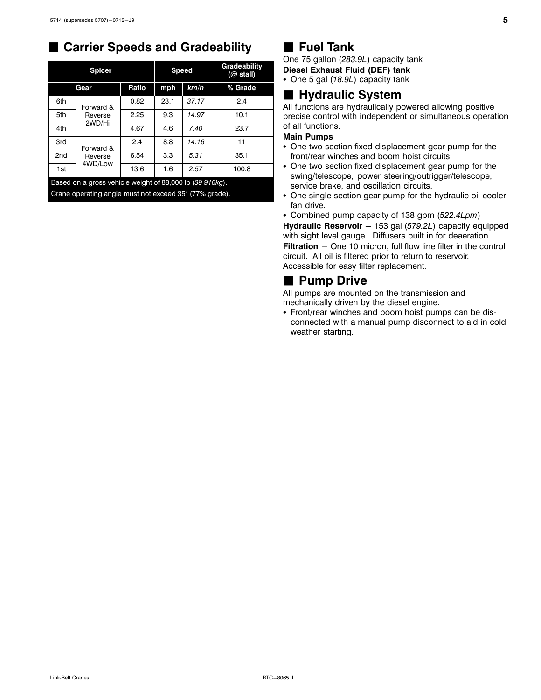### <span id="page-8-0"></span>■ Carrier Speeds and Gradeability

|                                                          | <b>Spicer</b>                                          |       | <b>Speed</b> |       | Gradeability<br>(@ stall) |  |  |  |
|----------------------------------------------------------|--------------------------------------------------------|-------|--------------|-------|---------------------------|--|--|--|
|                                                          | Gear                                                   | Ratio | mph          | km/h  | % Grade                   |  |  |  |
| 6th                                                      | Forward &                                              | 0.82  | 23.1         | 37.17 | 2.4                       |  |  |  |
| 5th                                                      | Reverse                                                | 2.25  | 9.3          | 14.97 | 10.1                      |  |  |  |
| 4th                                                      | 2WD/Hi                                                 | 4.67  | 4.6          | 7.40  | 23.7                      |  |  |  |
| 3rd                                                      | Forward &                                              | 2.4   | 8.8          | 14.16 | 11                        |  |  |  |
| 2 <sub>nd</sub>                                          | Reverse                                                | 6.54  | 3.3          | 5.31  | 35.1                      |  |  |  |
| 1st                                                      | 4WD/Low                                                | 13.6  | 1.6          | 2.57  | 100.8                     |  |  |  |
| Based on a gross vehicle weight of 88,000 lb (39 916kg). |                                                        |       |              |       |                           |  |  |  |
|                                                          | Crane operating angle must not exceed 35° (77% grade). |       |              |       |                           |  |  |  |

#### - **Fuel Tank**

One 75 gallon (*283.9L*) capacity tank

- **Diesel Exhaust Fluid (DEF) tank**
- One 5 gal (18.9L) capacity tank

#### $\blacksquare$  **Hydraulic System**

All functions are hydraulically powered allowing positive precise control with independent or simultaneous operation of all functions.

#### **Main Pumps**

- One two section fixed displacement gear pump for the front/rear winches and boom hoist circuits.
- One two section fixed displacement gear pump for the swing/telescope, power steering/outrigger/telescope, service brake, and oscillation circuits.
- One single section gear pump for the hydraulic oil cooler fan drive.
- Combined pump capacity of 138 gpm (*522.4Lpm*)

Hydraulic Reservoir - 153 gal (579.2L) capacity equipped with sight level gauge. Diffusers built in for deaeration. **Filtration** – One 10 micron, full flow line filter in the control circuit. All oil is filtered prior to return to reservoir.

Accessible for easy filter replacement.

#### **Pump Drive**

All pumps are mounted on the transmission and mechanically driven by the diesel engine.

- Front/rear winches and boom hoist pumps can be disconnected with a manual pump disconnect to aid in cold weather starting.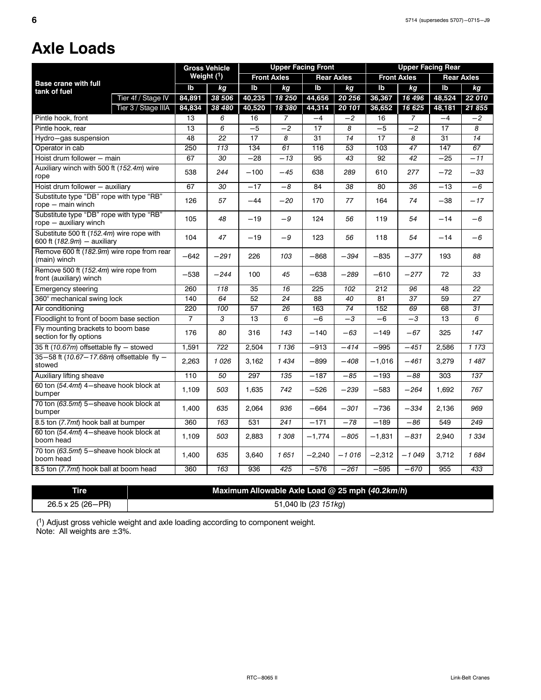# <span id="page-9-0"></span>**Axle Loads**

|                                                                            |                     |                 | <b>Gross Vehicle</b> |                    |                | <b>Upper Facing Front</b> |                   | <b>Upper Facing Rear</b> |                    |                 |                   |
|----------------------------------------------------------------------------|---------------------|-----------------|----------------------|--------------------|----------------|---------------------------|-------------------|--------------------------|--------------------|-----------------|-------------------|
| <b>Base crane with full</b>                                                |                     | Weight (1)      |                      | <b>Front Axles</b> |                |                           | <b>Rear Axles</b> |                          | <b>Front Axles</b> |                 | <b>Rear Axles</b> |
| tank of fuel                                                               |                     |                 | kg                   | lb                 | kg             | lb                        | kg                | lb                       | kg                 | lb              | kg                |
|                                                                            | Tier 4f / Stage IV  | 84,891          | 38 506               | 40,235             | 18 250         | 44,656                    | 20 25 6           | 36,367                   | 16 496             | 48,524          | 22 010            |
|                                                                            | Tier 3 / Stage IIIA | 84,834          | 38 480               | 40,520             | 18 380         | 44,314                    | 20 101            | 36,652                   | 16 625             | 48,181          | 21 855            |
| Pintle hook, front                                                         |                     | 13              | 6                    | 16                 | $\overline{7}$ | $-4$                      | $-2$              | 16                       | $\overline{7}$     | $-4$            | $-2$              |
| Pintle hook, rear                                                          |                     | $\overline{13}$ | 6                    | $-5$               | $-2$           | $\overline{17}$           | $\overline{8}$    | $-5$                     | $-2$               | $\overline{17}$ | 8                 |
| Hydro-gas suspension                                                       |                     | 48              | 22                   | 17                 | $\overline{8}$ | 31                        | 14                | 17                       | 8                  | 31              | 14                |
| Operator in cab                                                            |                     | 250             | 113                  | 134                | 61             | 116                       | 53                | 103                      | 47                 | 147             | 67                |
| Hoist drum follower - main                                                 |                     | 67              | $\overline{30}$      | $-28$              | $-13$          | $\overline{95}$           | 43                | $\overline{92}$          | $\overline{42}$    | $-25$           | $-11$             |
| Auxiliary winch with 500 ft (152.4m) wire<br>rope                          |                     | 538             | 244                  | $-100$             | $-45$          | 638                       | 289               | 610                      | 277                | $-72$           | $-33$             |
| Hoist drum follower - auxiliary                                            |                     | 67              | 30                   | $-17$              | $-8$           | 84                        | 38                | 80                       | 36                 | $-13$           | $-6$              |
| Substitute type "DB" rope with type "RB"<br>rope - main winch              |                     | 126             | 57                   | $-44$              | $-20$          | 170                       | 77                | 164                      | 74                 | $-38$           | $-17$             |
| Substitute type "DB" rope with type "RB"<br>rope - auxiliary winch         |                     | 105             | 48                   | $-19$              | $-9$           | 124                       | 56                | 119                      | 54                 | $-14$           | $-6$              |
| Substitute 500 ft (152.4m) wire rope with<br>600 ft $(182.9m)$ - auxiliary |                     | 104             | 47                   | $-19$              | $-9$           | 123                       | 56                | 118                      | 54                 | $-14$           | -6                |
| Remove 600 ft (182.9m) wire rope from rear<br>(main) winch                 |                     | $-642$          | $-291$               | 226                | 103            | $-868$                    | $-394$            | $-835$                   | $-377$             | 193             | 88                |
| Remove 500 ft (152.4m) wire rope from<br>front (auxiliary) winch           |                     | $-538$          | $-244$               | 100                | 45             | $-638$                    | $-289$            | $-610$                   | $-277$             | 72              | 33                |
| <b>Emergency steering</b>                                                  |                     | 260             | 118                  | 35                 | 16             | 225                       | 102               | 212                      | 96                 | 48              | 22                |
| 360° mechanical swing lock                                                 |                     | 140             | 64                   | 52                 | 24             | 88                        | 40                | 81                       | 37                 | 59              | 27                |
| Air conditioning                                                           |                     | 220             | 100                  | 57                 | 26             | 163                       | 74                | 152                      | 69                 | 68              | 31                |
| Floodlight to front of boom base section                                   |                     | $\overline{7}$  | 3                    | 13                 | 6              | $-6$                      | $-3$              | $-6$                     | $-3$               | 13              | 6                 |
| Fly mounting brackets to boom base<br>section for fly options              |                     | 176             | 80                   | 316                | 143            | $-140$                    | $-63$             | $-149$                   | $-67$              | 325             | 147               |
| 35 ft (10.67m) offsettable fly - stowed                                    |                     | 1,591           | 722                  | 2.504              | 1 1 3 6        | $-913$                    | $-414$            | $-995$                   | $-451$             | 2,586           | 1 1 7 3           |
| 35-58 ft (10.67-17.68m) offsettable fly -<br>stowed                        |                     | 2,263           | 1026                 | 3,162              | 1434           | $-899$                    | $-408$            | $-1,016$                 | $-461$             | 3,279           | 1487              |
| Auxiliary lifting sheave                                                   |                     | 110             | 50                   | 297                | 135            | $-187$                    | $-85$             | $-193$                   | $-88$              | 303             | 137               |
| 60 ton (54.4mt) 4-sheave hook block at<br>bumper                           |                     | 1,109           | 503                  | 1,635              | 742            | $-526$                    | $-239$            | $-583$                   | $-264$             | 1,692           | 767               |
| 70 ton (63.5mt) 5-sheave hook block at<br>bumper                           |                     | 1.400           | 635                  | 2,064              | 936            | $-664$                    | $-301$            | $-736$                   | $-334$             | 2,136           | 969               |
| 8.5 ton (7.7mt) hook ball at bumper                                        |                     | 360             | 163                  | 531                | 241            | $-171$                    | $-78$             | $-189$                   | $-86$              | 549             | 249               |
| 60 ton (54.4mt) 4-sheave hook block at<br>boom head                        |                     | 1,109           | 503                  | 2,883              | 1 308          | $-1,774$                  | $-805$            | $-1,831$                 | $-831$             | 2,940           | 1 3 3 4           |
| 70 ton (63.5mt) 5-sheave hook block at<br>boom head                        |                     | 1,400           | 635                  | 3.640              | 1651           | $-2,240$                  | $-1016$           | $-2,312$                 | $-1049$            | 3,712           | 1684              |
| 8.5 ton (7.7mt) hook ball at boom head                                     |                     | 360             | 163                  | 936                | 425            | $-576$                    | $-261$            | $-595$                   | $-670$             | 955             | 433               |

| Tire                       | Maximum Allowable Axle Load $@$ 25 mph (40.2km/h) |
|----------------------------|---------------------------------------------------|
| $26.5 \times 25 (26 - PR)$ | 51,040 lb (23 151kg)                              |
|                            |                                                   |

(1) Adjust gross vehicle weight and axle loading according to component weight. Note: All weights are  $\pm 3\%$ .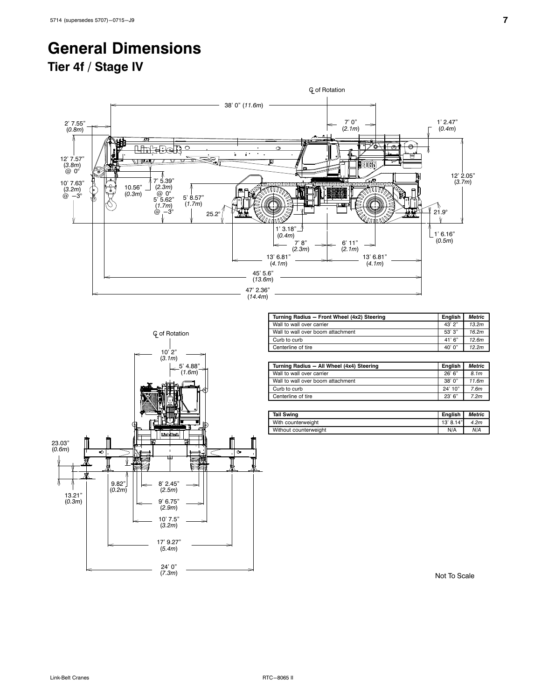### <span id="page-10-0"></span>**General Dimensions Tier 4f / Stage IV**

#### **Q** of Rotation 38' 0" (*11.6m*) 7' 0" (*2.1m*) 1' 2.47" (*0.4m*) 2' 7.55" (*0.8m*) <u> Hink+Belt</u>  $\circ$ ō  $\frac{1}{\mathfrak{g}}$  . 12' 7.57" (*3.8m*) @ 0° ∖⊪µ…  $\frac{1}{\sqrt{2}}$  $12' 2.05"$ 7' 5.39" (*3.7m*) 10' 7.63" (*3.2m*) @ -3° 10.56" WA) f. (*2.3m*) @ 0° 5' 5.62" (*1.7m*) @ -3° **ROUTERY** C ЕLF (*0.3m*) ţ<br>Ö 5' 8.57" (*1.7m*) 21.9° 25.2° annl 1' 3.18" (*0.4m*) 1' 6.16" (*0.5m*)  $7' 8$ 6' 11" (*2.1m*) (*2.3m*) 13' 6.81" 13' 6.81" (*4.1m*) (*4.1m*) 45' 5.6" (*13.6m*) 47' 2.36" (*14.4m*) **Turning Radius - Front Wheel (4x2) Steering <b>English Metric**<br>
Wall to wall over carrier **All to wall over Carrier English English English English English English English** Wall to wall over carrier 43' 2" 13.2m<br>
Wall to wall over boom attachment<br>
53' 3" 16.2m **Q** of Rotation Wall to wall over boom attachment 53' 3" 16.2m<br>
Curb to curb  $41' 6" 12.6m$ Curb to curb 41' 6" *12.6m* Centerline of tire 40' 0" **12.2m** 10' 2" (*3.1m*) 5' 4.88" **Turning Radius - All Wheel (4x4) Steering English Metric Leap is a metric Wall to wall over carrier Wall to wall over carrier and the Vall of the Vall of the Vall of the Vall of the Vall of the Vall of the Vall of the Val** (*1.6m*) Wall to wall over carrier **26' 6"** 8.1m<br>
Wall to wall over boom attachment 38' 0" 11.6m Wall to wall over boom attachment 38' 0" 11.6m<br>
Curb to curb 38' 0" 11.6m<br>
24' 10" 7.6m Curb to curb 24' 10" *7.6m* Centerline of tire 23' 6" **7.2m Tail Swing English** *Metric* With counterweight 13' 8.14" *4.2m* Without counterweight N/A *N/A N/A* **Lunds** 23.03" (*0.6m*) ब  $\overline{r}$  $\mathbf{\hat{V}}$ ДΘ  $\begin{bmatrix} 9.82 \\ (0.2m) \end{bmatrix}$ 8' 2.45" (*2.5m*)(*0.2m*) 13.21" 9' 6.75" (*0.3m*) (*2.9m*)

Not To Scale

10' 7.5" (*3.2m*) 17' 9.27" (*5.4m*)

24' 0" (*7.3m*)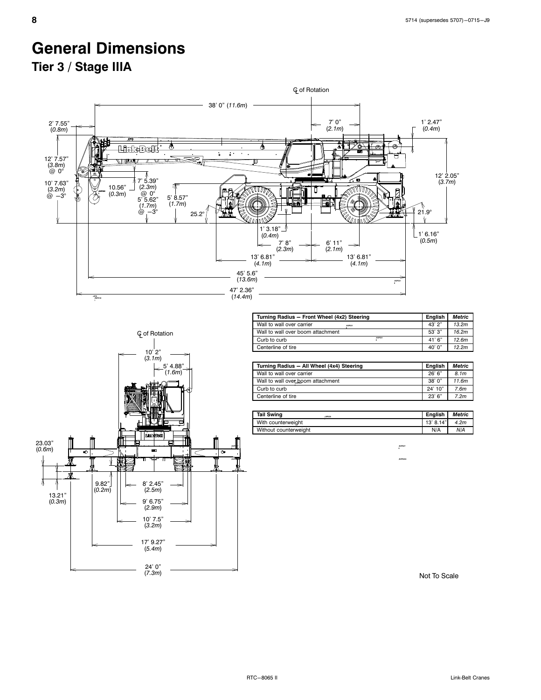# <span id="page-11-0"></span>**General Dimensions**

### **Tier 3 / Stage IIIA**



Not To Scale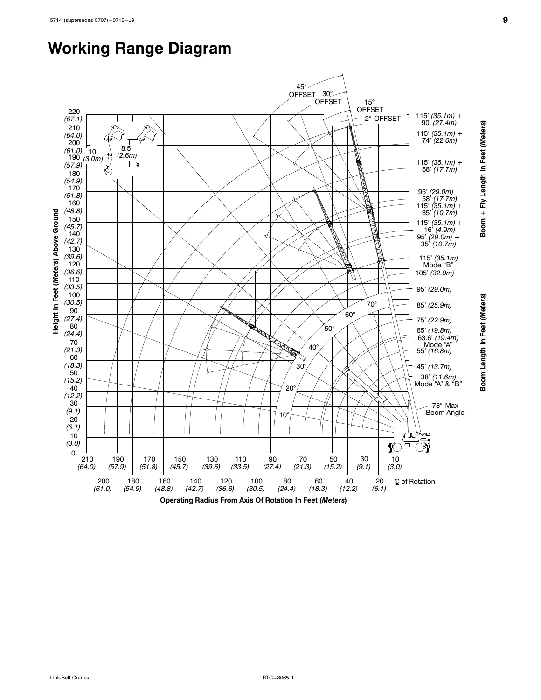## <span id="page-12-0"></span>**Working Range Diagram**

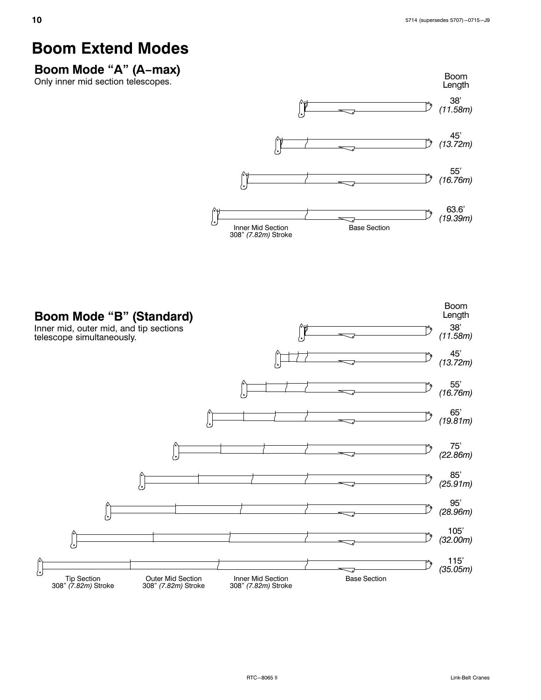# <span id="page-13-0"></span>**Boom Extend Modes**

### **Boom Mode "A" (A−max)**

Only inner mid section telescopes.

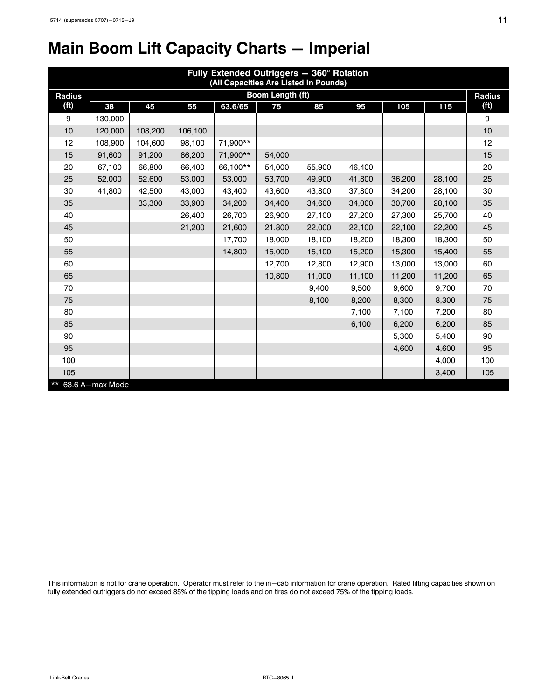# <span id="page-14-0"></span>**Main Boom Lift Capacity Charts - Imperial**

| Fully Extended Outriggers - 360° Rotation<br>(All Capacities Are Listed In Pounds) |         |         |         |          |                  |        |        |        |        |                   |  |
|------------------------------------------------------------------------------------|---------|---------|---------|----------|------------------|--------|--------|--------|--------|-------------------|--|
| <b>Radius</b>                                                                      |         |         |         |          | Boom Length (ft) |        |        |        |        | <b>Radius</b>     |  |
| (f <sup>t</sup> )                                                                  | 38      | 45      | 55      | 63.6/65  | 75               | 85     | 95     | 105    | 115    | (f <sup>t</sup> ) |  |
| 9                                                                                  | 130,000 |         |         |          |                  |        |        |        |        | 9                 |  |
| 10                                                                                 | 120,000 | 108,200 | 106,100 |          |                  |        |        |        |        | 10                |  |
| 12                                                                                 | 108,900 | 104,600 | 98,100  | 71,900** |                  |        |        |        |        | 12                |  |
| 15                                                                                 | 91,600  | 91,200  | 86,200  | 71,900** | 54,000           |        |        |        |        | 15                |  |
| 20                                                                                 | 67,100  | 66,800  | 66,400  | 66,100** | 54,000           | 55,900 | 46,400 |        |        | 20                |  |
| 25                                                                                 | 52,000  | 52,600  | 53,000  | 53,000   | 53,700           | 49,900 | 41,800 | 36,200 | 28,100 | 25                |  |
| 30                                                                                 | 41,800  | 42,500  | 43,000  | 43,400   | 43,600           | 43,800 | 37,800 | 34,200 | 28,100 | 30                |  |
| 35                                                                                 |         | 33,300  | 33,900  | 34,200   | 34,400           | 34,600 | 34,000 | 30,700 | 28,100 | 35                |  |
| 40                                                                                 |         |         | 26,400  | 26,700   | 26,900           | 27,100 | 27,200 | 27,300 | 25,700 | 40                |  |
| 45                                                                                 |         |         | 21,200  | 21,600   | 21,800           | 22,000 | 22,100 | 22,100 | 22,200 | 45                |  |
| 50                                                                                 |         |         |         | 17,700   | 18,000           | 18,100 | 18,200 | 18,300 | 18,300 | 50                |  |
| 55                                                                                 |         |         |         | 14,800   | 15,000           | 15,100 | 15,200 | 15,300 | 15,400 | 55                |  |
| 60                                                                                 |         |         |         |          | 12,700           | 12,800 | 12,900 | 13,000 | 13,000 | 60                |  |
| 65                                                                                 |         |         |         |          | 10,800           | 11,000 | 11,100 | 11,200 | 11,200 | 65                |  |
| 70                                                                                 |         |         |         |          |                  | 9,400  | 9,500  | 9,600  | 9,700  | 70                |  |
| 75                                                                                 |         |         |         |          |                  | 8,100  | 8,200  | 8,300  | 8,300  | 75                |  |
| 80                                                                                 |         |         |         |          |                  |        | 7,100  | 7,100  | 7,200  | 80                |  |
| 85                                                                                 |         |         |         |          |                  |        | 6,100  | 6,200  | 6,200  | 85                |  |
| 90                                                                                 |         |         |         |          |                  |        |        | 5,300  | 5,400  | 90                |  |
| 95                                                                                 |         |         |         |          |                  |        |        | 4,600  | 4,600  | 95                |  |
| 100                                                                                |         |         |         |          |                  |        |        |        | 4,000  | 100               |  |
| 105                                                                                |         |         |         |          |                  |        |        |        | 3,400  | 105               |  |
| ** 63.6 A-max Mode                                                                 |         |         |         |          |                  |        |        |        |        |                   |  |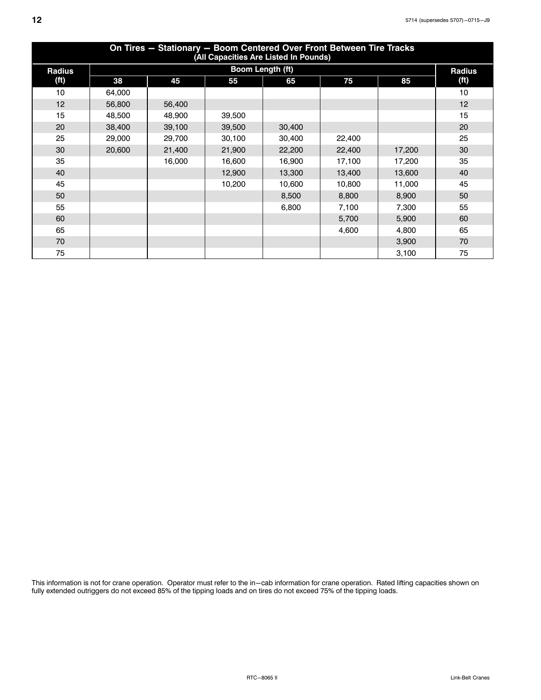<span id="page-15-0"></span>

| On Tires - Stationary - Boom Centered Over Front Between Tire Tracks<br>(All Capacities Are Listed In Pounds) |        |        |        |        |        |        |                   |  |  |  |  |
|---------------------------------------------------------------------------------------------------------------|--------|--------|--------|--------|--------|--------|-------------------|--|--|--|--|
| Boom Length (ft)<br>Radius                                                                                    |        |        |        |        |        |        |                   |  |  |  |  |
| (f <sup>t</sup> )                                                                                             | 38     | 45     | 55     | 65     | 75     | 85     | (f <sup>t</sup> ) |  |  |  |  |
| 10                                                                                                            | 64,000 |        |        |        |        |        | 10                |  |  |  |  |
| 12                                                                                                            | 56,800 | 56,400 |        |        |        |        | 12                |  |  |  |  |
| 15                                                                                                            | 48,500 | 48,900 | 39,500 |        |        |        | 15                |  |  |  |  |
| 20                                                                                                            | 38,400 | 39,100 | 39,500 | 30,400 |        |        | 20                |  |  |  |  |
| 25                                                                                                            | 29,000 | 29,700 | 30,100 | 30,400 | 22,400 |        | 25                |  |  |  |  |
| 30                                                                                                            | 20,600 | 21,400 | 21,900 | 22,200 | 22,400 | 17,200 | 30                |  |  |  |  |
| 35                                                                                                            |        | 16,000 | 16,600 | 16,900 | 17,100 | 17,200 | 35                |  |  |  |  |
| 40                                                                                                            |        |        | 12,900 | 13,300 | 13,400 | 13,600 | 40                |  |  |  |  |
| 45                                                                                                            |        |        | 10,200 | 10,600 | 10,800 | 11,000 | 45                |  |  |  |  |
| 50                                                                                                            |        |        |        | 8,500  | 8,800  | 8,900  | 50                |  |  |  |  |
| 55                                                                                                            |        |        |        | 6,800  | 7,100  | 7,300  | 55                |  |  |  |  |
| 60                                                                                                            |        |        |        |        | 5,700  | 5,900  | 60                |  |  |  |  |
| 65                                                                                                            |        |        |        |        | 4,600  | 4,800  | 65                |  |  |  |  |
| 70                                                                                                            |        |        |        |        |        | 3,900  | 70                |  |  |  |  |
| 75                                                                                                            |        |        |        |        |        | 3,100  | 75                |  |  |  |  |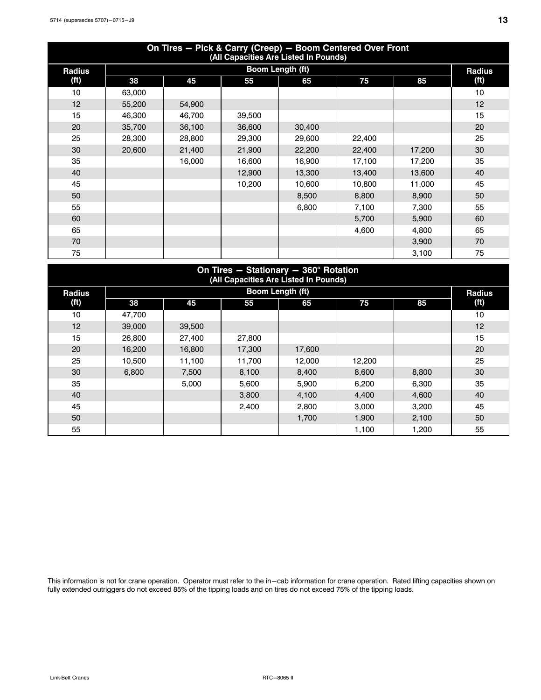<span id="page-16-0"></span>

| On Tires - Pick & Carry (Creep) - Boom Centered Over Front<br>(All Capacities Are Listed In Pounds) |                  |        |        |        |                   |        |    |  |  |  |
|-----------------------------------------------------------------------------------------------------|------------------|--------|--------|--------|-------------------|--------|----|--|--|--|
| Radius                                                                                              | Boom Length (ft) |        |        |        |                   |        |    |  |  |  |
| (f <sup>t</sup> )                                                                                   | 38               | 45     | 75     | 85     | (f <sup>t</sup> ) |        |    |  |  |  |
| 10                                                                                                  | 63,000           |        |        |        |                   |        | 10 |  |  |  |
| 12                                                                                                  | 55,200           | 54,900 |        |        |                   |        | 12 |  |  |  |
| 15                                                                                                  | 46,300           | 46,700 | 39,500 |        |                   |        | 15 |  |  |  |
| 20                                                                                                  | 35,700           | 36,100 | 36,600 | 30,400 |                   |        | 20 |  |  |  |
| 25                                                                                                  | 28,300           | 28,800 | 29,300 | 29,600 | 22,400            |        | 25 |  |  |  |
| 30                                                                                                  | 20,600           | 21,400 | 21,900 | 22,200 | 22,400            | 17,200 | 30 |  |  |  |
| 35                                                                                                  |                  | 16,000 | 16,600 | 16,900 | 17,100            | 17,200 | 35 |  |  |  |
| 40                                                                                                  |                  |        | 12,900 | 13,300 | 13,400            | 13,600 | 40 |  |  |  |
| 45                                                                                                  |                  |        | 10,200 | 10,600 | 10,800            | 11,000 | 45 |  |  |  |
| 50                                                                                                  |                  |        |        | 8,500  | 8,800             | 8,900  | 50 |  |  |  |
| 55                                                                                                  |                  |        |        | 6,800  | 7,100             | 7,300  | 55 |  |  |  |
| 60                                                                                                  |                  |        |        |        | 5,700             | 5,900  | 60 |  |  |  |
| 65                                                                                                  |                  |        |        |        | 4,600             | 4,800  | 65 |  |  |  |
| 70                                                                                                  |                  |        |        |        |                   | 3,900  | 70 |  |  |  |
| 75                                                                                                  |                  |        |        |        |                   | 3,100  | 75 |  |  |  |

| On Tires - Stationary - $360^\circ$ Rotation<br>(All Capacities Are Listed In Pounds) |                  |        |        |        |        |       |                   |  |  |  |  |
|---------------------------------------------------------------------------------------|------------------|--------|--------|--------|--------|-------|-------------------|--|--|--|--|
| <b>Radius</b>                                                                         | Boom Length (ft) |        |        |        |        |       |                   |  |  |  |  |
| (f <sup>t</sup> )                                                                     | 38               | 45     | 55     | 65     | 75     | 85    | (f <sup>t</sup> ) |  |  |  |  |
| 10                                                                                    | 47,700           |        |        |        |        |       | 10                |  |  |  |  |
| 12                                                                                    | 39,000           | 39,500 |        |        |        |       | 12                |  |  |  |  |
| 15                                                                                    | 26,800           | 27,400 | 27,800 |        |        |       | 15                |  |  |  |  |
| 20                                                                                    | 16,200           | 16,800 | 17,300 | 17,600 |        |       | 20                |  |  |  |  |
| 25                                                                                    | 10,500           | 11,100 | 11,700 | 12,000 | 12,200 |       | 25                |  |  |  |  |
| 30                                                                                    | 6,800            | 7,500  | 8,100  | 8,400  | 8,600  | 8,800 | 30                |  |  |  |  |
| 35                                                                                    |                  | 5,000  | 5,600  | 5,900  | 6,200  | 6,300 | 35                |  |  |  |  |
| 40                                                                                    |                  |        | 3,800  | 4,100  | 4,400  | 4,600 | 40                |  |  |  |  |
| 45                                                                                    |                  |        | 2,400  | 2,800  | 3,000  | 3,200 | 45                |  |  |  |  |
| 50                                                                                    |                  |        |        | 1,700  | 1,900  | 2,100 | 50                |  |  |  |  |
| 55                                                                                    |                  |        |        |        | 1,100  | 1,200 | 55                |  |  |  |  |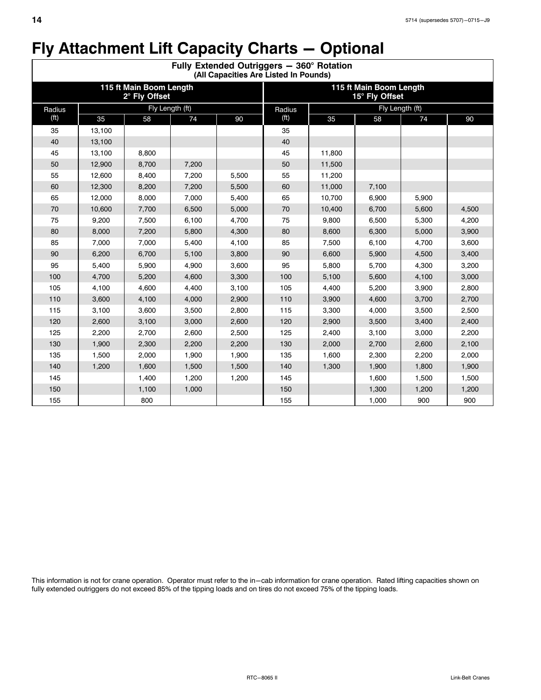# <span id="page-17-0"></span>**Fly Attachment Lift Capacity Charts - Optional**

|                   | Fully Extended Outriggers - 360° Rotation<br>(All Capacities Are Listed In Pounds) |                                          |       |       |                                           |                 |       |       |       |  |  |  |  |
|-------------------|------------------------------------------------------------------------------------|------------------------------------------|-------|-------|-------------------------------------------|-----------------|-------|-------|-------|--|--|--|--|
|                   |                                                                                    | 115 ft Main Boom Length<br>2° Fly Offset |       |       | 115 ft Main Boom Length<br>15° Fly Offset |                 |       |       |       |  |  |  |  |
| Radius            |                                                                                    | Fly Length (ft)                          |       |       | Radius                                    | Fly Length (ft) |       |       |       |  |  |  |  |
| (f <sup>t</sup> ) | 35                                                                                 | 58                                       | 74    | 90    | (f <sup>t</sup> )                         | 35              | 58    | 74    | 90    |  |  |  |  |
| 35                | 13,100                                                                             |                                          |       |       | 35                                        |                 |       |       |       |  |  |  |  |
| 40                | 13,100                                                                             |                                          |       |       | 40                                        |                 |       |       |       |  |  |  |  |
| 45                | 13,100                                                                             | 8,800                                    |       |       | 45                                        | 11,800          |       |       |       |  |  |  |  |
| 50                | 12,900                                                                             | 8,700                                    | 7,200 |       | 50                                        | 11,500          |       |       |       |  |  |  |  |
| 55                | 12,600                                                                             | 8,400                                    | 7,200 | 5,500 | 55                                        | 11,200          |       |       |       |  |  |  |  |
| 60                | 12,300                                                                             | 8,200                                    | 7,200 | 5,500 | 60                                        | 11,000          | 7,100 |       |       |  |  |  |  |
| 65                | 12,000                                                                             | 8,000                                    | 7,000 | 5,400 | 65                                        | 10,700          | 6,900 | 5,900 |       |  |  |  |  |
| 70                | 10,600                                                                             | 7,700                                    | 6,500 | 5,000 | 70                                        | 10,400          | 6,700 | 5,600 | 4,500 |  |  |  |  |
| 75                | 9,200                                                                              | 7,500                                    | 6,100 | 4,700 | 75                                        | 9,800           | 6,500 | 5,300 | 4,200 |  |  |  |  |
| 80                | 8,000                                                                              | 7,200                                    | 5,800 | 4,300 | 80                                        | 8,600           | 6,300 | 5,000 | 3,900 |  |  |  |  |
| 85                | 7,000                                                                              | 7,000                                    | 5,400 | 4,100 | 85                                        | 7,500           | 6,100 | 4,700 | 3,600 |  |  |  |  |
| 90                | 6,200                                                                              | 6,700                                    | 5,100 | 3,800 | 90                                        | 6,600           | 5,900 | 4,500 | 3,400 |  |  |  |  |
| 95                | 5,400                                                                              | 5,900                                    | 4,900 | 3,600 | 95                                        | 5,800           | 5,700 | 4,300 | 3,200 |  |  |  |  |
| 100               | 4,700                                                                              | 5,200                                    | 4,600 | 3,300 | 100                                       | 5,100           | 5,600 | 4,100 | 3,000 |  |  |  |  |
| 105               | 4,100                                                                              | 4,600                                    | 4,400 | 3,100 | 105                                       | 4,400           | 5,200 | 3,900 | 2,800 |  |  |  |  |
| 110               | 3,600                                                                              | 4,100                                    | 4,000 | 2,900 | 110                                       | 3,900           | 4,600 | 3,700 | 2,700 |  |  |  |  |
| 115               | 3,100                                                                              | 3,600                                    | 3,500 | 2,800 | 115                                       | 3,300           | 4,000 | 3,500 | 2,500 |  |  |  |  |
| 120               | 2,600                                                                              | 3,100                                    | 3,000 | 2,600 | 120                                       | 2,900           | 3,500 | 3,400 | 2,400 |  |  |  |  |
| 125               | 2,200                                                                              | 2,700                                    | 2,600 | 2,500 | 125                                       | 2,400           | 3,100 | 3,000 | 2,200 |  |  |  |  |
| 130               | 1,900                                                                              | 2,300                                    | 2,200 | 2,200 | 130                                       | 2,000           | 2,700 | 2,600 | 2,100 |  |  |  |  |
| 135               | 1,500                                                                              | 2,000                                    | 1,900 | 1,900 | 135                                       | 1,600           | 2,300 | 2,200 | 2,000 |  |  |  |  |
| 140               | 1,200                                                                              | 1,600                                    | 1,500 | 1,500 | 140                                       | 1,300           | 1,900 | 1,800 | 1,900 |  |  |  |  |
| 145               |                                                                                    | 1,400                                    | 1,200 | 1,200 | 145                                       |                 | 1,600 | 1,500 | 1,500 |  |  |  |  |
| 150               |                                                                                    | 1,100                                    | 1,000 |       | 150                                       |                 | 1,300 | 1,200 | 1,200 |  |  |  |  |
| 155               |                                                                                    | 800                                      |       |       | 155                                       |                 | 1,000 | 900   | 900   |  |  |  |  |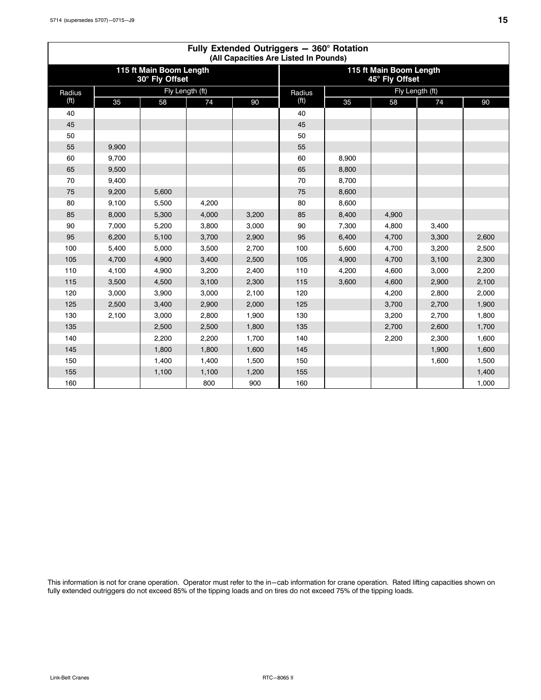<span id="page-18-0"></span>

|                   | Fully Extended Outriggers - 360° Rotation<br>(All Capacities Are Listed In Pounds) |                                           |       |       |                   |                 |                                           |       |       |  |  |  |  |
|-------------------|------------------------------------------------------------------------------------|-------------------------------------------|-------|-------|-------------------|-----------------|-------------------------------------------|-------|-------|--|--|--|--|
|                   |                                                                                    | 115 ft Main Boom Length<br>30° Fly Offset |       |       |                   |                 | 115 ft Main Boom Length<br>45° Fly Offset |       |       |  |  |  |  |
| Radius            |                                                                                    | Fly Length (ft)                           |       |       | Radius            | Fly Length (ft) |                                           |       |       |  |  |  |  |
| (f <sup>t</sup> ) | 35                                                                                 | 58                                        | 74    | 90    | (f <sup>t</sup> ) | 35              | 58                                        | 74    | 90    |  |  |  |  |
| 40                |                                                                                    |                                           |       |       | 40                |                 |                                           |       |       |  |  |  |  |
| 45                |                                                                                    |                                           |       |       | 45                |                 |                                           |       |       |  |  |  |  |
| 50                |                                                                                    |                                           |       |       | 50                |                 |                                           |       |       |  |  |  |  |
| 55                | 9,900                                                                              |                                           |       |       | 55                |                 |                                           |       |       |  |  |  |  |
| 60                | 9,700                                                                              |                                           |       |       | 60                | 8,900           |                                           |       |       |  |  |  |  |
| 65                | 9,500                                                                              |                                           |       |       | 65                | 8,800           |                                           |       |       |  |  |  |  |
| 70                | 9,400                                                                              |                                           |       |       | 70                | 8,700           |                                           |       |       |  |  |  |  |
| 75                | 9,200                                                                              | 5,600                                     |       |       | 75                | 8,600           |                                           |       |       |  |  |  |  |
| 80                | 9,100                                                                              | 5,500                                     | 4,200 |       | 80                | 8,600           |                                           |       |       |  |  |  |  |
| 85                | 8,000                                                                              | 5,300                                     | 4,000 | 3,200 | 85                | 8,400           | 4,900                                     |       |       |  |  |  |  |
| 90                | 7,000                                                                              | 5,200                                     | 3,800 | 3,000 | 90                | 7,300           | 4,800                                     | 3,400 |       |  |  |  |  |
| 95                | 6,200                                                                              | 5,100                                     | 3,700 | 2,900 | 95                | 6,400           | 4,700                                     | 3,300 | 2,600 |  |  |  |  |
| 100               | 5,400                                                                              | 5,000                                     | 3,500 | 2,700 | 100               | 5,600           | 4,700                                     | 3,200 | 2,500 |  |  |  |  |
| 105               | 4,700                                                                              | 4,900                                     | 3,400 | 2,500 | 105               | 4,900           | 4,700                                     | 3,100 | 2,300 |  |  |  |  |
| 110               | 4,100                                                                              | 4,900                                     | 3,200 | 2,400 | 110               | 4,200           | 4,600                                     | 3,000 | 2,200 |  |  |  |  |
| 115               | 3,500                                                                              | 4,500                                     | 3,100 | 2,300 | 115               | 3,600           | 4,600                                     | 2,900 | 2,100 |  |  |  |  |
| 120               | 3,000                                                                              | 3,900                                     | 3,000 | 2,100 | 120               |                 | 4,200                                     | 2,800 | 2,000 |  |  |  |  |
| 125               | 2,500                                                                              | 3,400                                     | 2,900 | 2,000 | 125               |                 | 3,700                                     | 2,700 | 1,900 |  |  |  |  |
| 130               | 2,100                                                                              | 3,000                                     | 2,800 | 1,900 | 130               |                 | 3,200                                     | 2,700 | 1,800 |  |  |  |  |
| 135               |                                                                                    | 2,500                                     | 2,500 | 1,800 | 135               |                 | 2,700                                     | 2,600 | 1,700 |  |  |  |  |
| 140               |                                                                                    | 2,200                                     | 2,200 | 1,700 | 140               |                 | 2,200                                     | 2,300 | 1,600 |  |  |  |  |
| 145               |                                                                                    | 1,800                                     | 1,800 | 1,600 | 145               |                 |                                           | 1,900 | 1,600 |  |  |  |  |
| 150               |                                                                                    | 1,400                                     | 1,400 | 1,500 | 150               |                 |                                           | 1,600 | 1,500 |  |  |  |  |
| 155               |                                                                                    | 1,100                                     | 1,100 | 1,200 | 155               |                 |                                           |       | 1,400 |  |  |  |  |
| 160               |                                                                                    |                                           | 800   | 900   | 160               |                 |                                           |       | 1,000 |  |  |  |  |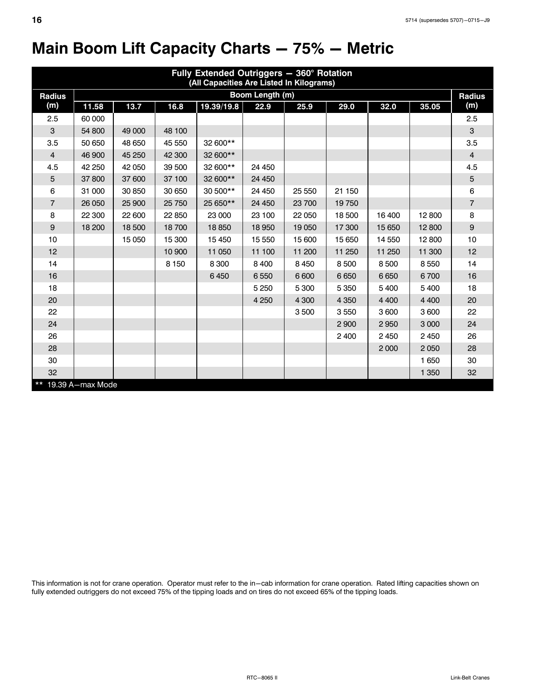# <span id="page-19-0"></span>**Main Boom Lift Capacity Charts - 75% - Metric**

|                     |        |        |         | Fully Extended Outriggers - 360° Rotation<br>(All Capacities Are Listed In Kilograms) |                 |         |         |         |         |                |
|---------------------|--------|--------|---------|---------------------------------------------------------------------------------------|-----------------|---------|---------|---------|---------|----------------|
| Radius              |        |        |         |                                                                                       | Boom Length (m) |         |         |         |         | <b>Radius</b>  |
| (m)                 | 11.58  | 13.7   | 16.8    | 19.39/19.8                                                                            | 22.9            | 25.9    | 29.0    | 32.0    | 35.05   | (m)            |
| 2.5                 | 60 000 |        |         |                                                                                       |                 |         |         |         |         | 2.5            |
| 3                   | 54 800 | 49 000 | 48 100  |                                                                                       |                 |         |         |         |         | 3              |
| 3.5                 | 50 650 | 48 650 | 45 550  | 32 600**                                                                              |                 |         |         |         |         | 3.5            |
| $\overline{4}$      | 46 900 | 45 250 | 42 300  | 32 600**                                                                              |                 |         |         |         |         | $\overline{4}$ |
| 4.5                 | 42 250 | 42 050 | 39 500  | 32 600**                                                                              | 24 450          |         |         |         |         | 4.5            |
| 5                   | 37800  | 37 600 | 37 100  | 32 600**                                                                              | 24 450          |         |         |         |         | 5              |
| 6                   | 31 000 | 30 850 | 30 650  | 30 500**                                                                              | 24 450          | 25 550  | 21 150  |         |         | 6              |
| $\overline{7}$      | 26 050 | 25 900 | 25 750  | 25 650**                                                                              | 24 450          | 23 700  | 19750   |         |         | $\overline{7}$ |
| 8                   | 22 300 | 22 600 | 22 850  | 23 000                                                                                | 23 100          | 22 050  | 18 500  | 16 400  | 12800   | 8              |
| 9                   | 18 200 | 18 500 | 18700   | 18850                                                                                 | 18 950          | 19 050  | 17 300  | 15 650  | 12800   | 9              |
| 10                  |        | 15 050 | 15 300  | 15 450                                                                                | 15 550          | 15 600  | 15 650  | 14 550  | 12800   | 10             |
| 12                  |        |        | 10 900  | 11 050                                                                                | 11 100          | 11 200  | 11 250  | 11 250  | 11 300  | 12             |
| 14                  |        |        | 8 1 5 0 | 8 3 0 0                                                                               | 8 4 0 0         | 8 4 5 0 | 8500    | 8500    | 8550    | 14             |
| 16                  |        |        |         | 6450                                                                                  | 6550            | 6 600   | 6650    | 6650    | 6700    | 16             |
| 18                  |        |        |         |                                                                                       | 5 2 5 0         | 5 300   | 5 3 5 0 | 5400    | 5400    | 18             |
| 20                  |        |        |         |                                                                                       | 4 2 5 0         | 4 3 0 0 | 4 3 5 0 | 4 4 0 0 | 4 4 0 0 | 20             |
| 22                  |        |        |         |                                                                                       |                 | 3500    | 3550    | 3600    | 3600    | 22             |
| 24                  |        |        |         |                                                                                       |                 |         | 2 9 0 0 | 2950    | 3 0 0 0 | 24             |
| 26                  |        |        |         |                                                                                       |                 |         | 2 4 0 0 | 2450    | 2450    | 26             |
| 28                  |        |        |         |                                                                                       |                 |         |         | 2 0 0 0 | 2050    | 28             |
| 30                  |        |        |         |                                                                                       |                 |         |         |         | 1650    | 30             |
| 32                  |        |        |         |                                                                                       |                 |         |         |         | 1 3 5 0 | 32             |
| ** 19.39 A-max Mode |        |        |         |                                                                                       |                 |         |         |         |         |                |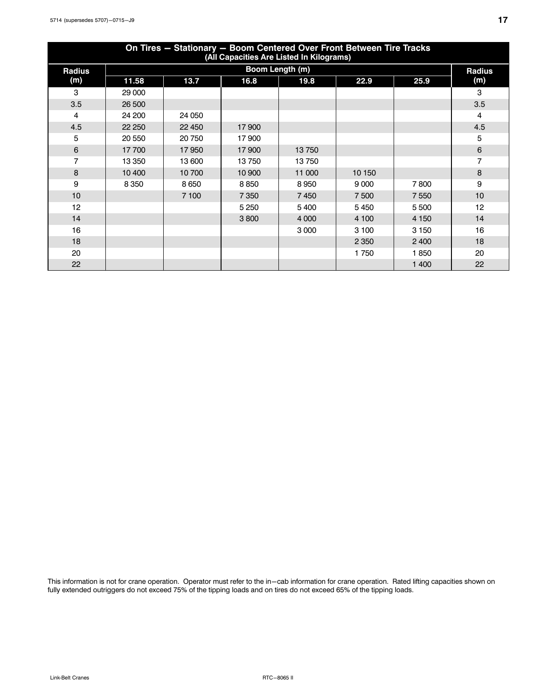<span id="page-20-0"></span>

| On Tires - Stationary - Boom Centered Over Front Between Tire Tracks<br>(All Capacities Are Listed In Kilograms) |         |        |                 |         |         |         |        |  |  |  |  |
|------------------------------------------------------------------------------------------------------------------|---------|--------|-----------------|---------|---------|---------|--------|--|--|--|--|
| Radius                                                                                                           |         |        | Boom Length (m) |         |         |         | Radius |  |  |  |  |
| (m)                                                                                                              | 11.58   | 13.7   | 16.8            | 19.8    | 22.9    | 25.9    | (m)    |  |  |  |  |
| 3                                                                                                                | 29 000  |        |                 |         |         |         | 3      |  |  |  |  |
| 3.5                                                                                                              | 26 500  |        |                 |         |         |         | 3.5    |  |  |  |  |
| 4                                                                                                                | 24 200  | 24 050 |                 |         |         |         | 4      |  |  |  |  |
| 4.5                                                                                                              | 22 250  | 22 450 | 17 900          |         |         |         | 4.5    |  |  |  |  |
| 5                                                                                                                | 20 550  | 20 750 | 17 900          |         |         |         | 5      |  |  |  |  |
| 6                                                                                                                | 17700   | 17950  | 17 900          | 13750   |         |         | 6      |  |  |  |  |
| 7                                                                                                                | 13 350  | 13 600 | 13750           | 13750   |         |         | 7      |  |  |  |  |
| 8                                                                                                                | 10 400  | 10 700 | 10 900          | 11 000  | 10 150  |         | 8      |  |  |  |  |
| 9                                                                                                                | 8 3 5 0 | 8650   | 8850            | 8950    | 9 0 0 0 | 7800    | 9      |  |  |  |  |
| 10                                                                                                               |         | 7 100  | 7 3 5 0         | 7450    | 7500    | 7550    | 10     |  |  |  |  |
| 12                                                                                                               |         |        | 5 2 5 0         | 5 4 0 0 | 5450    | 5 500   | 12     |  |  |  |  |
| 14                                                                                                               |         |        | 3800            | 4 0 0 0 | 4 100   | 4 1 5 0 | 14     |  |  |  |  |
| 16                                                                                                               |         |        |                 | 3 0 0 0 | 3 100   | 3 1 5 0 | 16     |  |  |  |  |
| 18                                                                                                               |         |        |                 |         | 2 3 5 0 | 2 4 0 0 | 18     |  |  |  |  |
| 20                                                                                                               |         |        |                 |         | 1750    | 1850    | 20     |  |  |  |  |
| 22                                                                                                               |         |        |                 |         |         | 1 400   | 22     |  |  |  |  |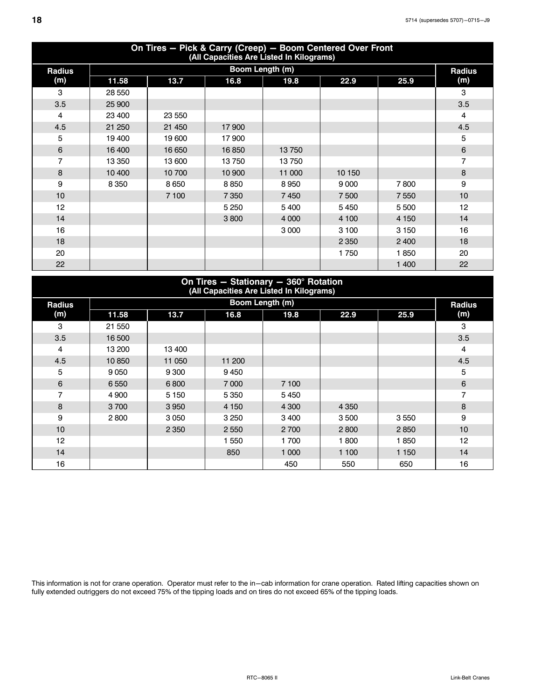<span id="page-21-0"></span>

|        | On Tires - Pick & Carry (Creep) - Boom Centered Over Front<br>(All Capacities Are Listed In Kilograms) |        |         |                        |         |         |        |  |  |  |  |  |
|--------|--------------------------------------------------------------------------------------------------------|--------|---------|------------------------|---------|---------|--------|--|--|--|--|--|
| Radius |                                                                                                        |        |         | <b>Boom Length (m)</b> |         |         | Radius |  |  |  |  |  |
| (m)    | 11.58                                                                                                  | 13.7   | 16.8    | 19.8                   | 22.9    | 25.9    | (m)    |  |  |  |  |  |
| 3      | 28 550                                                                                                 |        |         |                        |         |         | 3      |  |  |  |  |  |
| 3.5    | 25 900                                                                                                 |        |         |                        |         |         | 3.5    |  |  |  |  |  |
| 4      | 23 400                                                                                                 | 23 550 |         |                        |         |         | 4      |  |  |  |  |  |
| 4.5    | 21 250                                                                                                 | 21 450 | 17 900  |                        |         |         | 4.5    |  |  |  |  |  |
| 5      | 19 400                                                                                                 | 19600  | 17 900  |                        |         |         | 5      |  |  |  |  |  |
| 6      | 16 400                                                                                                 | 16 650 | 16850   | 13750                  |         |         | 6      |  |  |  |  |  |
| 7      | 13 3 50                                                                                                | 13 600 | 13750   | 13750                  |         |         | 7      |  |  |  |  |  |
| 8      | 10 400                                                                                                 | 10700  | 10 900  | 11 000                 | 10 150  |         | 8      |  |  |  |  |  |
| 9      | 8 3 5 0                                                                                                | 8650   | 8850    | 8950                   | 9 0 0 0 | 7800    | 9      |  |  |  |  |  |
| 10     |                                                                                                        | 7 100  | 7 3 5 0 | 7450                   | 7 500   | 7550    | 10     |  |  |  |  |  |
| 12     |                                                                                                        |        | 5 2 5 0 | 5 4 0 0                | 5450    | 5 5 0 0 | 12     |  |  |  |  |  |
| 14     |                                                                                                        |        | 3800    | 4 0 0 0                | 4 100   | 4 1 5 0 | 14     |  |  |  |  |  |
| 16     |                                                                                                        |        |         | 3 0 0 0                | 3 100   | 3 1 5 0 | 16     |  |  |  |  |  |
| 18     |                                                                                                        |        |         |                        | 2 3 5 0 | 2 4 0 0 | 18     |  |  |  |  |  |
| 20     |                                                                                                        |        |         |                        | 1750    | 1850    | 20     |  |  |  |  |  |
| 22     |                                                                                                        |        |         |                        |         | 1 400   | 22     |  |  |  |  |  |

| On Tires - Stationary - $360^\circ$ Rotation<br>(All Capacities Are Listed In Kilograms) |         |         |                 |         |         |         |               |  |  |  |  |
|------------------------------------------------------------------------------------------|---------|---------|-----------------|---------|---------|---------|---------------|--|--|--|--|
| <b>Radius</b>                                                                            |         |         | Boom Length (m) |         |         |         | <b>Radius</b> |  |  |  |  |
| (m)                                                                                      | 11.58   | 13.7    | 16.8            | 19.8    | 22.9    | 25.9    | (m)           |  |  |  |  |
| 3                                                                                        | 21 550  |         |                 |         |         |         | 3             |  |  |  |  |
| 3.5                                                                                      | 16 500  |         |                 |         |         |         | 3.5           |  |  |  |  |
| 4                                                                                        | 13 200  | 13 400  |                 |         |         |         | 4             |  |  |  |  |
| 4.5                                                                                      | 10850   | 11 050  | 11 200          |         |         |         | 4.5           |  |  |  |  |
| 5                                                                                        | 9050    | 9 3 0 0 | 9450            |         |         |         | 5             |  |  |  |  |
| 6                                                                                        | 6 5 5 0 | 6800    | 7 0 0 0         | 7 100   |         |         | 6             |  |  |  |  |
| $\overline{7}$                                                                           | 4 9 0 0 | 5 1 5 0 | 5 3 5 0         | 5450    |         |         | 7             |  |  |  |  |
| 8                                                                                        | 3 700   | 3950    | 4 1 5 0         | 4 3 0 0 | 4 3 5 0 |         | 8             |  |  |  |  |
| 9                                                                                        | 2800    | 3 0 5 0 | 3 2 5 0         | 3 4 0 0 | 3500    | 3550    | 9             |  |  |  |  |
| 10                                                                                       |         | 2 3 5 0 | 2 5 5 0         | 2 700   | 2800    | 2850    | 10            |  |  |  |  |
| 12                                                                                       |         |         | 1 550           | 1700    | 1800    | 1850    | 12            |  |  |  |  |
| 14                                                                                       |         |         | 850             | 1 0 0 0 | 1 100   | 1 1 5 0 | 14            |  |  |  |  |
| 16                                                                                       |         |         |                 | 450     | 550     | 650     | 16            |  |  |  |  |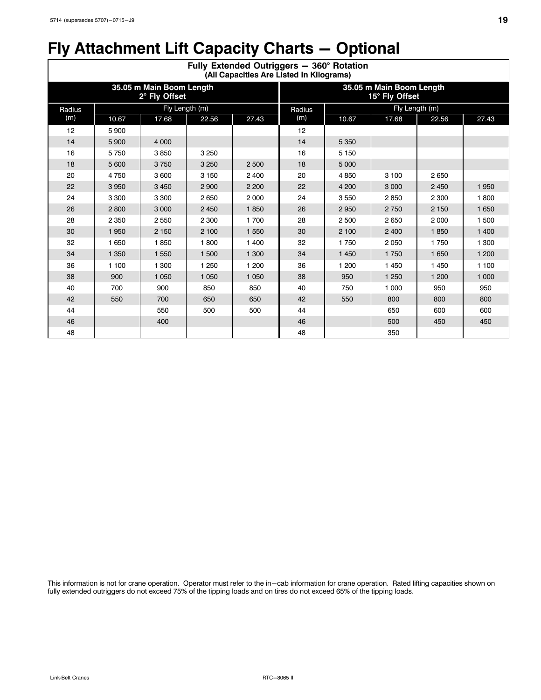# <span id="page-22-0"></span>**Fly Attachment Lift Capacity Charts - Optional**

**Fully Extended Outriggers - 360° Rotation (All Capacities Are Listed In Kilograms) 35.05 m Main Boom Length 2° Fly Offset 35.05 m Main Boom Length 15° Fly Offset** Radius (m) Fly Length (m) Radius (m) Fly Length (m) 10.67 17.68 22.56 27.43 10.67 17.68 22.56 27.43 12 5900 | | | 12 14 | 5 900 | 4 000 | | | | | | | | 14 | 5 350 16 | 5 750 | 3 850 | 3 250 | 16 | 5 150 18 | 5600 | 3750 | 3250 | 2 500 | 18 | 5 000 20 4 750 3 600 3 150 2 400 20 4 850 3 100 2 650 22 3 950 3 450 2 900 2 200 22 4 200 3 000 2 450 1 950 24 3 300 3 300 2 650 2 000 24 3 550 2 850 2 300 1 800 26 | 2 800 | 3 000 | 2 450 | 1 850 | 2 96 | 2 950 | 2 750 | 2 150 | 1 650 28 | 2 350 | 2 550 | 2 300 | 1 700 | 2 28 | 2 500 | 2 650 | 2 000 | 1 500 30 | 1 950 | 2 150 | 2 100 | 1 550 | 30 | 2 100 | 2 400 | 1 850 | 1 400 32 1 650 1 850 1 800 1 400 32 1 750 2 050 1 750 1 300 34 1 350 1 550 1 500 1 300 34 1 450 1 750 1 650 1 200 36 1 100 1 300 1 250 1 200 36 1 200 1 450 1 450 1 100 38 | 900 | 1 050 | 1 050 | 1 050 | 38 | 950 | 1 250 | 1 200 | 1 000 40 | 700 | 900 | 850 | 850 | 40 | 750 | 1 000 | 950 | 950 42 | 550 | 700 | 650 | 650 | 42 | 550 | 800 | 800 | 800 44 | | 550 | 500 | 500 | 44 | 650 | 600 | 600 46 | | 400 | | | 46 | | 500 | 450 | 450 48 | | | | | | | | | | 48 | | 350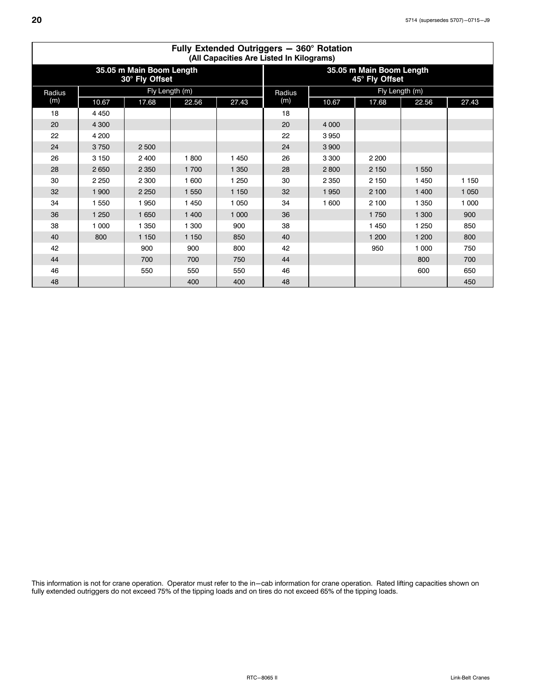<span id="page-23-0"></span>

|        | Fully Extended Outriggers - 360° Rotation<br>(All Capacities Are Listed In Kilograms) |                                            |         |         |                                            |         |                |         |         |  |  |  |  |
|--------|---------------------------------------------------------------------------------------|--------------------------------------------|---------|---------|--------------------------------------------|---------|----------------|---------|---------|--|--|--|--|
|        |                                                                                       | 35.05 m Main Boom Length<br>30° Fly Offset |         |         | 35.05 m Main Boom Length<br>45° Fly Offset |         |                |         |         |  |  |  |  |
| Radius |                                                                                       | Fly Length (m)                             |         |         | Radius                                     |         | Fly Length (m) |         |         |  |  |  |  |
| (m)    | 10.67                                                                                 | 17.68                                      | 22.56   | 27.43   | (m)                                        | 10.67   | 17.68          | 22.56   | 27.43   |  |  |  |  |
| 18     | 4 4 5 0                                                                               |                                            |         |         | 18                                         |         |                |         |         |  |  |  |  |
| 20     | 4 3 0 0                                                                               |                                            |         |         | 20                                         | 4 0 0 0 |                |         |         |  |  |  |  |
| 22     | 4 200                                                                                 |                                            |         |         | 22                                         | 3950    |                |         |         |  |  |  |  |
| 24     | 3750                                                                                  | 2 500                                      |         |         | 24                                         | 3 9 0 0 |                |         |         |  |  |  |  |
| 26     | 3 1 5 0                                                                               | 2 4 0 0                                    | 1800    | 1 4 5 0 | 26                                         | 3 3 0 0 | 2 2 0 0        |         |         |  |  |  |  |
| 28     | 2650                                                                                  | 2 3 5 0                                    | 1700    | 1 350   | 28                                         | 2800    | 2 1 5 0        | 1 5 5 0 |         |  |  |  |  |
| 30     | 2 2 5 0                                                                               | 2 3 0 0                                    | 1 600   | 1 2 5 0 | 30                                         | 2 3 5 0 | 2 1 5 0        | 1 4 5 0 | 1 1 5 0 |  |  |  |  |
| 32     | 1 900                                                                                 | 2 2 5 0                                    | 1 5 5 0 | 1 1 5 0 | 32                                         | 1950    | 2 100          | 1 400   | 1 0 5 0 |  |  |  |  |
| 34     | 1550                                                                                  | 1950                                       | 1 4 5 0 | 1 0 5 0 | 34                                         | 1600    | 2 100          | 1 3 5 0 | 1 000   |  |  |  |  |
| 36     | 1 2 5 0                                                                               | 1 650                                      | 1 400   | 1 0 0 0 | 36                                         |         | 1750           | 1 300   | 900     |  |  |  |  |
| 38     | 1 0 0 0                                                                               | 1 3 5 0                                    | 1 300   | 900     | 38                                         |         | 1 4 5 0        | 1 250   | 850     |  |  |  |  |
| 40     | 800                                                                                   | 1 1 5 0                                    | 1 1 5 0 | 850     | 40                                         |         | 1 200          | 1 200   | 800     |  |  |  |  |
| 42     |                                                                                       | 900                                        | 900     | 800     | 42                                         |         | 950            | 1 000   | 750     |  |  |  |  |
| 44     |                                                                                       | 700                                        | 700     | 750     | 44                                         |         |                | 800     | 700     |  |  |  |  |
| 46     |                                                                                       | 550                                        | 550     | 550     | 46                                         |         |                | 600     | 650     |  |  |  |  |
| 48     |                                                                                       |                                            | 400     | 400     | 48                                         |         |                |         | 450     |  |  |  |  |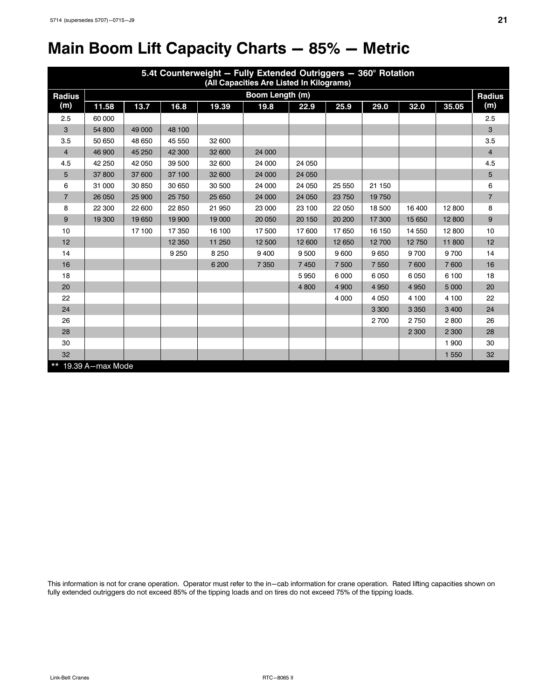# <span id="page-24-0"></span>**Main Boom Lift Capacity Charts - 85% - Metric**

|                | 5.4t Counterweight - Fully Extended Outriggers - 360° Rotation<br>(All Capacities Are Listed In Kilograms) |        |         |         |                 |         |         |         |         |         |                |  |  |
|----------------|------------------------------------------------------------------------------------------------------------|--------|---------|---------|-----------------|---------|---------|---------|---------|---------|----------------|--|--|
| <b>Radius</b>  |                                                                                                            |        |         |         | Boom Length (m) |         |         |         |         |         | <b>Radius</b>  |  |  |
| (m)            | 11.58                                                                                                      | 13.7   | 16.8    | 19.39   | 19.8            | 22.9    | 25.9    | 29.0    | 32.0    | 35.05   | (m)            |  |  |
| 2.5            | 60 000                                                                                                     |        |         |         |                 |         |         |         |         |         | 2.5            |  |  |
| 3              | 54 800                                                                                                     | 49 000 | 48 100  |         |                 |         |         |         |         |         | 3              |  |  |
| 3.5            | 50 650                                                                                                     | 48 650 | 45 550  | 32 600  |                 |         |         |         |         |         | 3.5            |  |  |
| $\overline{4}$ | 46 900                                                                                                     | 45 250 | 42 300  | 32 600  | 24 000          |         |         |         |         |         | 4              |  |  |
| 4.5            | 42 250                                                                                                     | 42 050 | 39 500  | 32 600  | 24 000          | 24 050  |         |         |         |         | 4.5            |  |  |
| 5              | 37800                                                                                                      | 37 600 | 37 100  | 32 600  | 24 000          | 24 050  |         |         |         |         | 5              |  |  |
| 6              | 31 000                                                                                                     | 30 850 | 30 650  | 30 500  | 24 000          | 24 050  | 25 550  | 21 150  |         |         | 6              |  |  |
| $\overline{7}$ | 26 050                                                                                                     | 25 900 | 25 750  | 25 650  | 24 000          | 24 050  | 23 750  | 19750   |         |         | $\overline{7}$ |  |  |
| 8              | 22 300                                                                                                     | 22 600 | 22 850  | 21 950  | 23 000          | 23 100  | 22 050  | 18 500  | 16 400  | 12 800  | 8              |  |  |
| 9              | 19 300                                                                                                     | 19650  | 19 900  | 19 000  | 20 050          | 20 150  | 20 200  | 17 300  | 15 650  | 12 800  | 9              |  |  |
| 10             |                                                                                                            | 17 100 | 17 350  | 16 100  | 17500           | 17 600  | 17 650  | 16 150  | 14 550  | 12 800  | 10             |  |  |
| 12             |                                                                                                            |        | 12 3 50 | 11 250  | 12 500          | 12 600  | 12 650  | 12700   | 12750   | 11 800  | 12             |  |  |
| 14             |                                                                                                            |        | 9 2 5 0 | 8 2 5 0 | 9 4 0 0         | 9 500   | 9600    | 9650    | 9700    | 9700    | 14             |  |  |
| 16             |                                                                                                            |        |         | 6 200   | 7 3 5 0         | 7 4 5 0 | 7 500   | 7 5 5 0 | 7600    | 7600    | 16             |  |  |
| 18             |                                                                                                            |        |         |         |                 | 5950    | 6 0 0 0 | 6 0 5 0 | 6 0 5 0 | 6 100   | 18             |  |  |
| 20             |                                                                                                            |        |         |         |                 | 4 800   | 4 9 0 0 | 4 9 5 0 | 4 9 5 0 | 5 0 0 0 | 20             |  |  |
| 22             |                                                                                                            |        |         |         |                 |         | 4 0 0 0 | 4 0 5 0 | 4 100   | 4 100   | 22             |  |  |
| 24             |                                                                                                            |        |         |         |                 |         |         | 3 3 0 0 | 3 3 5 0 | 3 4 0 0 | 24             |  |  |
| 26             |                                                                                                            |        |         |         |                 |         |         | 2700    | 2750    | 2800    | 26             |  |  |
| 28             |                                                                                                            |        |         |         |                 |         |         |         | 2 3 0 0 | 2 3 0 0 | 28             |  |  |
| 30             |                                                                                                            |        |         |         |                 |         |         |         |         | 1 900   | 30             |  |  |
| 32             |                                                                                                            |        |         |         |                 |         |         |         |         | 1 550   | 32             |  |  |
| $***$          | 19.39 A-max Mode                                                                                           |        |         |         |                 |         |         |         |         |         |                |  |  |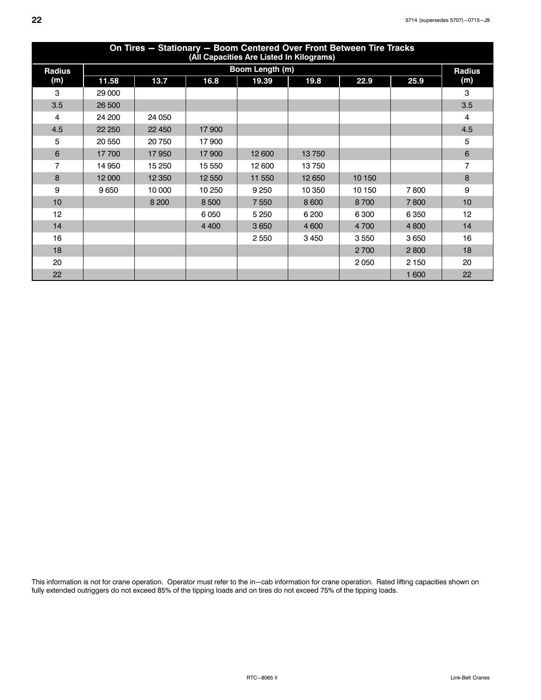<span id="page-25-0"></span>

|                 | On Tires - Stationary - Boom Centered Over Front Between Tire Tracks<br>(All Capacities Are Listed In Kilograms) |         |         |                 |         |         |         |                 |  |  |  |  |  |
|-----------------|------------------------------------------------------------------------------------------------------------------|---------|---------|-----------------|---------|---------|---------|-----------------|--|--|--|--|--|
| <b>Radius</b>   |                                                                                                                  |         |         | Boom Length (m) |         |         |         | <b>Radius</b>   |  |  |  |  |  |
| (m)             | 11.58                                                                                                            | 13.7    | 16.8    | 19.39           | 19.8    | 22.9    | 25.9    | (m)             |  |  |  |  |  |
| 3               | 29 000                                                                                                           |         |         |                 |         |         |         | 3               |  |  |  |  |  |
| 3.5             | 26 500                                                                                                           |         |         |                 |         |         |         | 3.5             |  |  |  |  |  |
| 4               | 24 200                                                                                                           | 24 050  |         |                 |         |         |         | 4               |  |  |  |  |  |
| 4.5             | 22 250                                                                                                           | 22 450  | 17900   |                 |         |         |         | 4.5             |  |  |  |  |  |
| 5               | 20 550                                                                                                           | 20 750  | 17 900  |                 |         |         |         | 5               |  |  |  |  |  |
| 6               | 17 700                                                                                                           | 17950   | 17900   | 12 600          | 13750   |         |         | 6               |  |  |  |  |  |
| 7               | 14 950                                                                                                           | 15 250  | 15 550  | 12 600          | 13750   |         |         | 7               |  |  |  |  |  |
| 8               | 12 000                                                                                                           | 12 3 50 | 12 550  | 11 550          | 12 650  | 10 150  |         | 8               |  |  |  |  |  |
| 9               | 9650                                                                                                             | 10 000  | 10 250  | 9 2 5 0         | 10 350  | 10 150  | 7800    | 9               |  |  |  |  |  |
| 10 <sup>1</sup> |                                                                                                                  | 8 2 0 0 | 8500    | 7550            | 8 6 0 0 | 8700    | 7800    | 10 <sup>1</sup> |  |  |  |  |  |
| 12              |                                                                                                                  |         | 6050    | 5 2 5 0         | 6 200   | 6 3 0 0 | 6 3 5 0 | 12              |  |  |  |  |  |
| 14              |                                                                                                                  |         | 4 4 0 0 | 3650            | 4 600   | 4 700   | 4800    | 14              |  |  |  |  |  |
| 16              |                                                                                                                  |         |         | 2550            | 3 4 5 0 | 3550    | 3650    | 16              |  |  |  |  |  |
| 18              |                                                                                                                  |         |         |                 |         | 2 700   | 2800    | 18              |  |  |  |  |  |
| 20              |                                                                                                                  |         |         |                 |         | 2050    | 2 1 5 0 | 20              |  |  |  |  |  |
| 22              |                                                                                                                  |         |         |                 |         |         | 1 600   | 22              |  |  |  |  |  |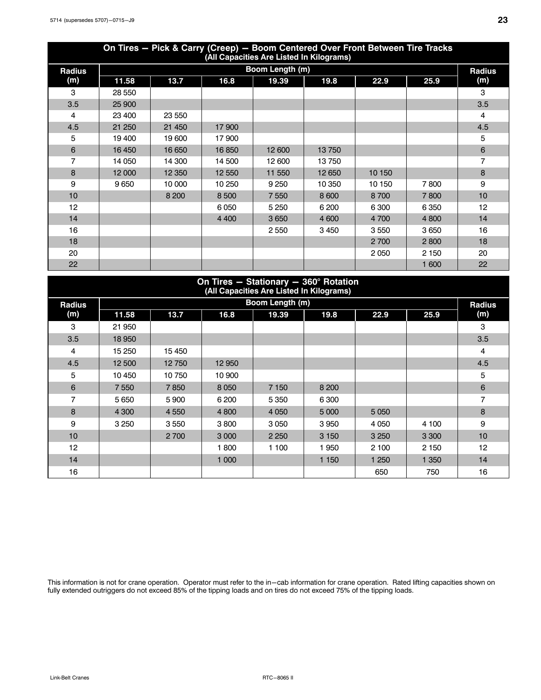<span id="page-26-0"></span>

|                | On Tires - Pick & Carry (Creep) - Boom Centered Over Front Between Tire Tracks<br>(All Capacities Are Listed In Kilograms) |         |         |                 |         |        |         |                |  |  |  |  |
|----------------|----------------------------------------------------------------------------------------------------------------------------|---------|---------|-----------------|---------|--------|---------|----------------|--|--|--|--|
| <b>Radius</b>  |                                                                                                                            |         |         | Boom Length (m) |         |        |         | Radius         |  |  |  |  |
| (m)            | 11.58                                                                                                                      | 13.7    | 16.8    | 19.39           | 19.8    | 22.9   | 25.9    | (m)            |  |  |  |  |
| 3              | 28 550                                                                                                                     |         |         |                 |         |        |         | 3              |  |  |  |  |
| 3.5            | 25 900                                                                                                                     |         |         |                 |         |        |         | 3.5            |  |  |  |  |
| 4              | 23 400                                                                                                                     | 23 550  |         |                 |         |        |         | 4              |  |  |  |  |
| 4.5            | 21 250                                                                                                                     | 21 450  | 17900   |                 |         |        |         | 4.5            |  |  |  |  |
| 5              | 19 400                                                                                                                     | 19 600  | 17900   |                 |         |        |         | 5              |  |  |  |  |
| 6              | 16 450                                                                                                                     | 16 650  | 16850   | 12 600          | 13750   |        |         | 6              |  |  |  |  |
| $\overline{7}$ | 14 050                                                                                                                     | 14 300  | 14 500  | 12 600          | 13750   |        |         | $\overline{7}$ |  |  |  |  |
| 8              | 12 000                                                                                                                     | 12 3 50 | 12 550  | 11 550          | 12 650  | 10 150 |         | 8              |  |  |  |  |
| 9              | 9650                                                                                                                       | 10 000  | 10 250  | 9 2 5 0         | 10 350  | 10 150 | 7800    | 9              |  |  |  |  |
| 10             |                                                                                                                            | 8 2 0 0 | 8 500   | 7 5 5 0         | 8 6 0 0 | 8700   | 7800    | 10             |  |  |  |  |
| 12             |                                                                                                                            |         | 6050    | 5 2 5 0         | 6 200   | 6 300  | 6 3 5 0 | 12             |  |  |  |  |
| 14             |                                                                                                                            |         | 4 4 0 0 | 3650            | 4 600   | 4 700  | 4 8 0 0 | 14             |  |  |  |  |
| 16             |                                                                                                                            |         |         | 2 5 5 0         | 3450    | 3550   | 3650    | 16             |  |  |  |  |
| 18             |                                                                                                                            |         |         |                 |         | 2700   | 2800    | 18             |  |  |  |  |
| 20             |                                                                                                                            |         |         |                 |         | 2050   | 2 1 5 0 | 20             |  |  |  |  |
| 22             |                                                                                                                            |         |         |                 |         |        | 1 600   | 22             |  |  |  |  |

|                | On Tires - Stationary - $360^\circ$ Rotation<br>(All Capacities Are Listed In Kilograms) |         |         |                        |         |         |         |                |  |  |  |  |
|----------------|------------------------------------------------------------------------------------------|---------|---------|------------------------|---------|---------|---------|----------------|--|--|--|--|
| <b>Radius</b>  |                                                                                          |         |         | <b>Boom Length (m)</b> |         |         |         | <b>Radius</b>  |  |  |  |  |
| (m)            | 11.58                                                                                    | 13.7    | 16.8    | 19.39                  | 19.8    | 22.9    | 25.9    | (m)            |  |  |  |  |
| 3              | 21 950                                                                                   |         |         |                        |         |         |         | 3              |  |  |  |  |
| 3.5            | 18 950                                                                                   |         |         |                        |         |         |         | 3.5            |  |  |  |  |
| 4              | 15 250                                                                                   | 15 450  |         |                        |         |         |         | 4              |  |  |  |  |
| 4.5            | 12 500                                                                                   | 12750   | 12 950  |                        |         |         |         | 4.5            |  |  |  |  |
| 5              | 10 450                                                                                   | 10750   | 10 900  |                        |         |         |         | 5              |  |  |  |  |
| 6              | 7 5 5 0                                                                                  | 7850    | 8 0 5 0 | 7 1 5 0                | 8 2 0 0 |         |         | 6              |  |  |  |  |
| $\overline{7}$ | 5650                                                                                     | 5900    | 6 200   | 5 3 5 0                | 6 300   |         |         | $\overline{7}$ |  |  |  |  |
| 8              | 4 3 0 0                                                                                  | 4 5 5 0 | 4 8 0 0 | 4 0 5 0                | 5 0 0 0 | 5 0 5 0 |         | 8              |  |  |  |  |
| 9              | 3 2 5 0                                                                                  | 3550    | 3800    | 3 0 5 0                | 3950    | 4 0 5 0 | 4 100   | 9              |  |  |  |  |
| 10             |                                                                                          | 2 700   | 3 0 0 0 | 2 2 5 0                | 3 1 5 0 | 3 2 5 0 | 3 3 0 0 | 10             |  |  |  |  |
| 12             |                                                                                          |         | 1800    | 1 100                  | 1950    | 2 100   | 2 1 5 0 | 12             |  |  |  |  |
| 14             |                                                                                          |         | 1 000   |                        | 1 1 5 0 | 1 2 5 0 | 1 350   | 14             |  |  |  |  |
| 16             |                                                                                          |         |         |                        |         | 650     | 750     | 16             |  |  |  |  |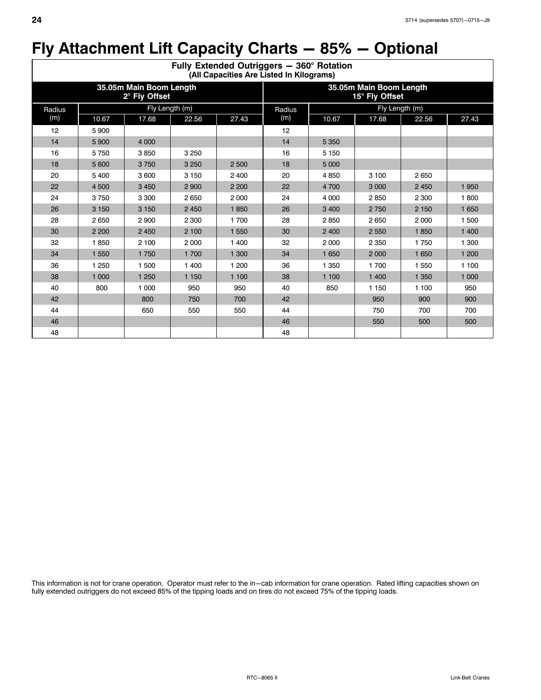# <span id="page-27-0"></span>**Fly Attachment Lift Capacity Charts - 85% - Optional**

|        |         |                                          |         | Fully Extended Outriggers - 360° Rotation<br>(All Capacities Are Listed In Kilograms) |                                           |         |                |         |         |  |
|--------|---------|------------------------------------------|---------|---------------------------------------------------------------------------------------|-------------------------------------------|---------|----------------|---------|---------|--|
|        |         | 35.05m Main Boom Length<br>2° Fly Offset |         |                                                                                       | 35.05m Main Boom Length<br>15° Fly Offset |         |                |         |         |  |
| Radius |         | Fly Length (m)                           |         |                                                                                       | Radius                                    |         | Fly Length (m) |         |         |  |
| (m)    | 10.67   | 17.68                                    | 22.56   | 27.43                                                                                 | (m)                                       | 10.67   | 17.68          | 22.56   | 27.43   |  |
| 12     | 5900    |                                          |         |                                                                                       | 12                                        |         |                |         |         |  |
| 14     | 5900    | 4 0 0 0                                  |         |                                                                                       | 14                                        | 5 3 5 0 |                |         |         |  |
| 16     | 5750    | 3850                                     | 3 2 5 0 |                                                                                       | 16                                        | 5 1 5 0 |                |         |         |  |
| 18     | 5 600   | 3750                                     | 3 2 5 0 | 2 500                                                                                 | 18                                        | 5 0 0 0 |                |         |         |  |
| 20     | 5400    | 3600                                     | 3 1 5 0 | 2 4 0 0                                                                               | 20                                        | 4850    | 3 100          | 2650    |         |  |
| 22     | 4 500   | 3 4 5 0                                  | 2 9 0 0 | 2 2 0 0                                                                               | 22                                        | 4700    | 3 0 0 0        | 2 4 5 0 | 1950    |  |
| 24     | 3750    | 3 3 0 0                                  | 2650    | 2000                                                                                  | 24                                        | 4 0 0 0 | 2850           | 2 3 0 0 | 1800    |  |
| 26     | 3 1 5 0 | 3 1 5 0                                  | 2 4 5 0 | 1850                                                                                  | 26                                        | 3 4 0 0 | 2 7 5 0        | 2 1 5 0 | 1 6 5 0 |  |
| 28     | 2650    | 2 9 0 0                                  | 2 3 0 0 | 1700                                                                                  | 28                                        | 2850    | 2650           | 2 0 0 0 | 1 500   |  |
| 30     | 2 2 0 0 | 2 4 5 0                                  | 2 100   | 1 5 5 0                                                                               | 30                                        | 2 4 0 0 | 2 5 5 0        | 1850    | 1 400   |  |
| 32     | 1850    | 2 100                                    | 2 0 0 0 | 1 400                                                                                 | 32                                        | 2000    | 2 3 5 0        | 1750    | 1 300   |  |
| 34     | 1 5 5 0 | 1750                                     | 1 700   | 1 300                                                                                 | 34                                        | 1 6 5 0 | 2 0 0 0        | 1650    | 1 200   |  |
| 36     | 1 2 5 0 | 1 500                                    | 1 400   | 1 200                                                                                 | 36                                        | 1 3 5 0 | 1700           | 1 5 5 0 | 1 100   |  |
| 38     | 1 0 0 0 | 1 2 5 0                                  | 1 1 5 0 | 1 100                                                                                 | 38                                        | 1 100   | 1 400          | 1 3 5 0 | 1 0 0 0 |  |
| 40     | 800     | 1 0 0 0                                  | 950     | 950                                                                                   | 40                                        | 850     | 1 1 5 0        | 1 100   | 950     |  |
| 42     |         | 800                                      | 750     | 700                                                                                   | 42                                        |         | 950            | 900     | 900     |  |
| 44     |         | 650                                      | 550     | 550                                                                                   | 44                                        |         | 750            | 700     | 700     |  |
| 46     |         |                                          |         |                                                                                       | 46                                        |         | 550            | 500     | 500     |  |
| 48     |         |                                          |         |                                                                                       | 48                                        |         |                |         |         |  |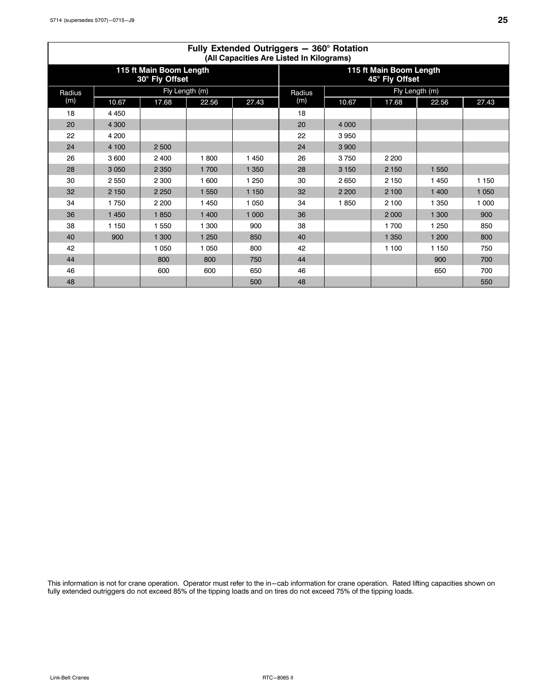<span id="page-28-0"></span>

| Fully Extended Outriggers - 360° Rotation<br>(All Capacities Are Listed In Kilograms) |                |         |         |         |                                           |                |         |         |         |
|---------------------------------------------------------------------------------------|----------------|---------|---------|---------|-------------------------------------------|----------------|---------|---------|---------|
| 115 ft Main Boom Length<br>30° Fly Offset                                             |                |         |         |         | 115 ft Main Boom Length<br>45° Fly Offset |                |         |         |         |
| Radius<br>(m)                                                                         | Fly Length (m) |         |         |         | Radius                                    | Fly Length (m) |         |         |         |
|                                                                                       | 10.67          | 17.68   | 22.56   | 27.43   | (m)                                       | 10.67          | 17.68   | 22.56   | 27.43   |
| 18                                                                                    | 4 4 5 0        |         |         |         | 18                                        |                |         |         |         |
| 20                                                                                    | 4 3 0 0        |         |         |         | 20                                        | 4 0 0 0        |         |         |         |
| 22                                                                                    | 4 200          |         |         |         | 22                                        | 3950           |         |         |         |
| 24                                                                                    | 4 100          | 2 500   |         |         | 24                                        | 3 9 0 0        |         |         |         |
| 26                                                                                    | 3600           | 2 4 0 0 | 1800    | 1 4 5 0 | 26                                        | 3750           | 2 2 0 0 |         |         |
| 28                                                                                    | 3050           | 2 3 5 0 | 1 700   | 1 3 5 0 | 28                                        | 3 1 5 0        | 2 1 5 0 | 1 550   |         |
| 30                                                                                    | 2 5 5 0        | 2 3 0 0 | 1 600   | 1 2 5 0 | 30                                        | 2650           | 2 1 5 0 | 1 450   | 1 1 5 0 |
| 32                                                                                    | 2 1 5 0        | 2 2 5 0 | 1 550   | 1 1 5 0 | 32                                        | 2 2 0 0        | 2 100   | 1 400   | 1 0 5 0 |
| 34                                                                                    | 1750           | 2 2 0 0 | 1 450   | 1 0 5 0 | 34                                        | 1850           | 2 100   | 1 3 5 0 | 1 000   |
| 36                                                                                    | 1 450          | 1850    | 1 400   | 1 0 0 0 | 36                                        |                | 2 0 0 0 | 1 300   | 900     |
| 38                                                                                    | 1 1 5 0        | 1 550   | 1 300   | 900     | 38                                        |                | 1700    | 1 250   | 850     |
| 40                                                                                    | 900            | 1 300   | 1 250   | 850     | 40                                        |                | 1 3 5 0 | 1 200   | 800     |
| 42                                                                                    |                | 1 0 5 0 | 1 0 5 0 | 800     | 42                                        |                | 1 100   | 1 150   | 750     |
| 44                                                                                    |                | 800     | 800     | 750     | 44                                        |                |         | 900     | 700     |
| 46                                                                                    |                | 600     | 600     | 650     | 46                                        |                |         | 650     | 700     |
| 48                                                                                    |                |         |         | 500     | 48                                        |                |         |         | 550     |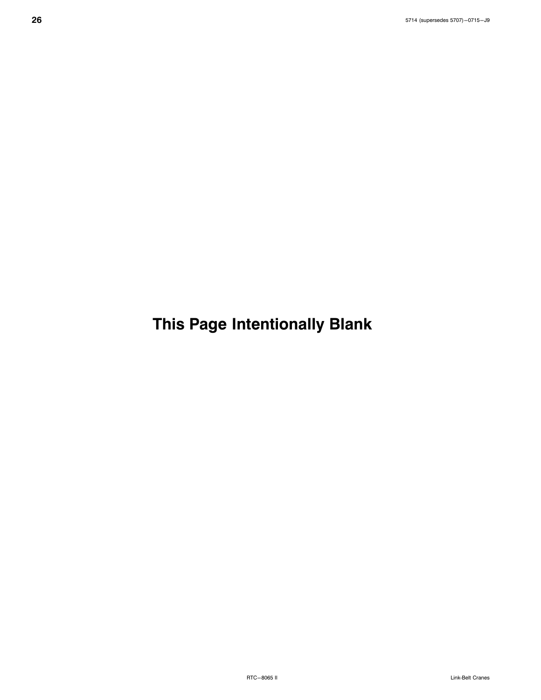**This Page Intentionally Blank**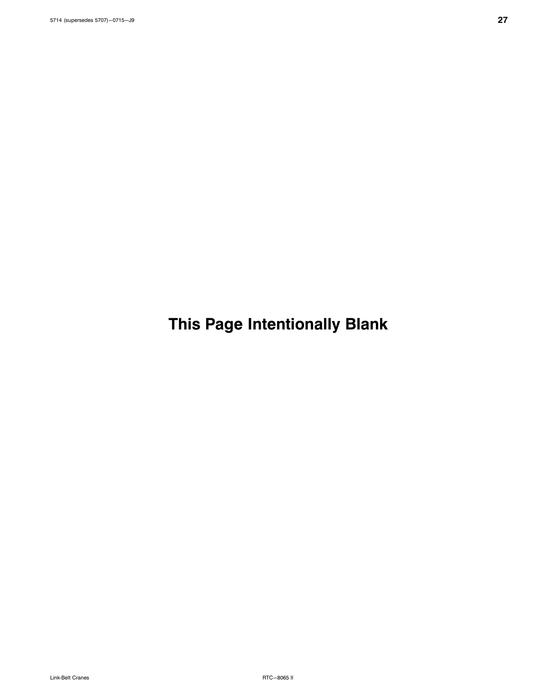**This Page Intentionally Blank**